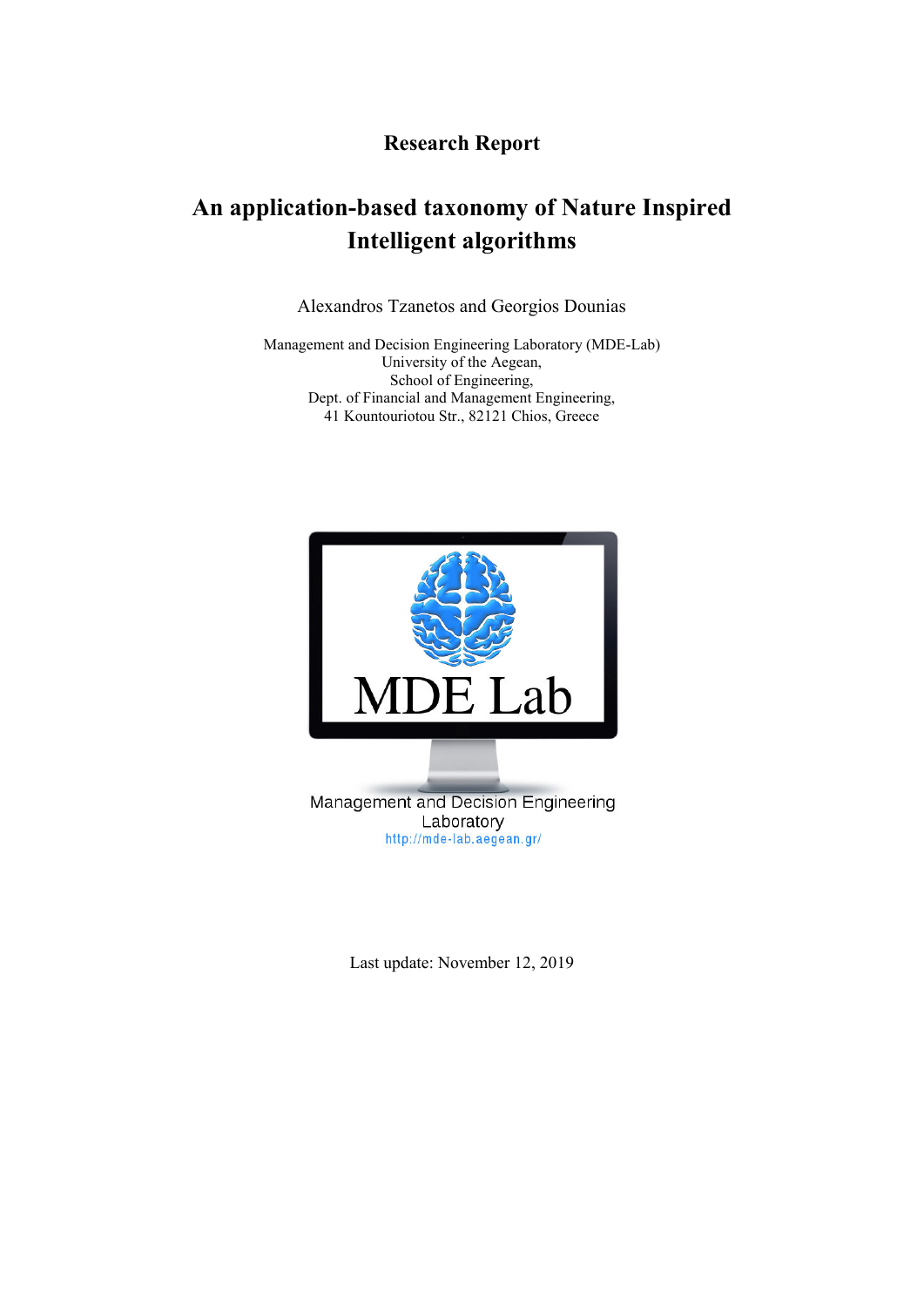## **Research Report**

# **An application-based taxonomy of Nature Inspired Intelligent algorithms**

Alexandros Tzanetos and Georgios Dounias

Management and Decision Engineering Laboratory (MDE-Lab) University of the Aegean, School of Engineering, Dept. of Financial and Management Engineering, 41 Kountouriotou Str., 82121 Chios, Greece



Last update: November 12, 2019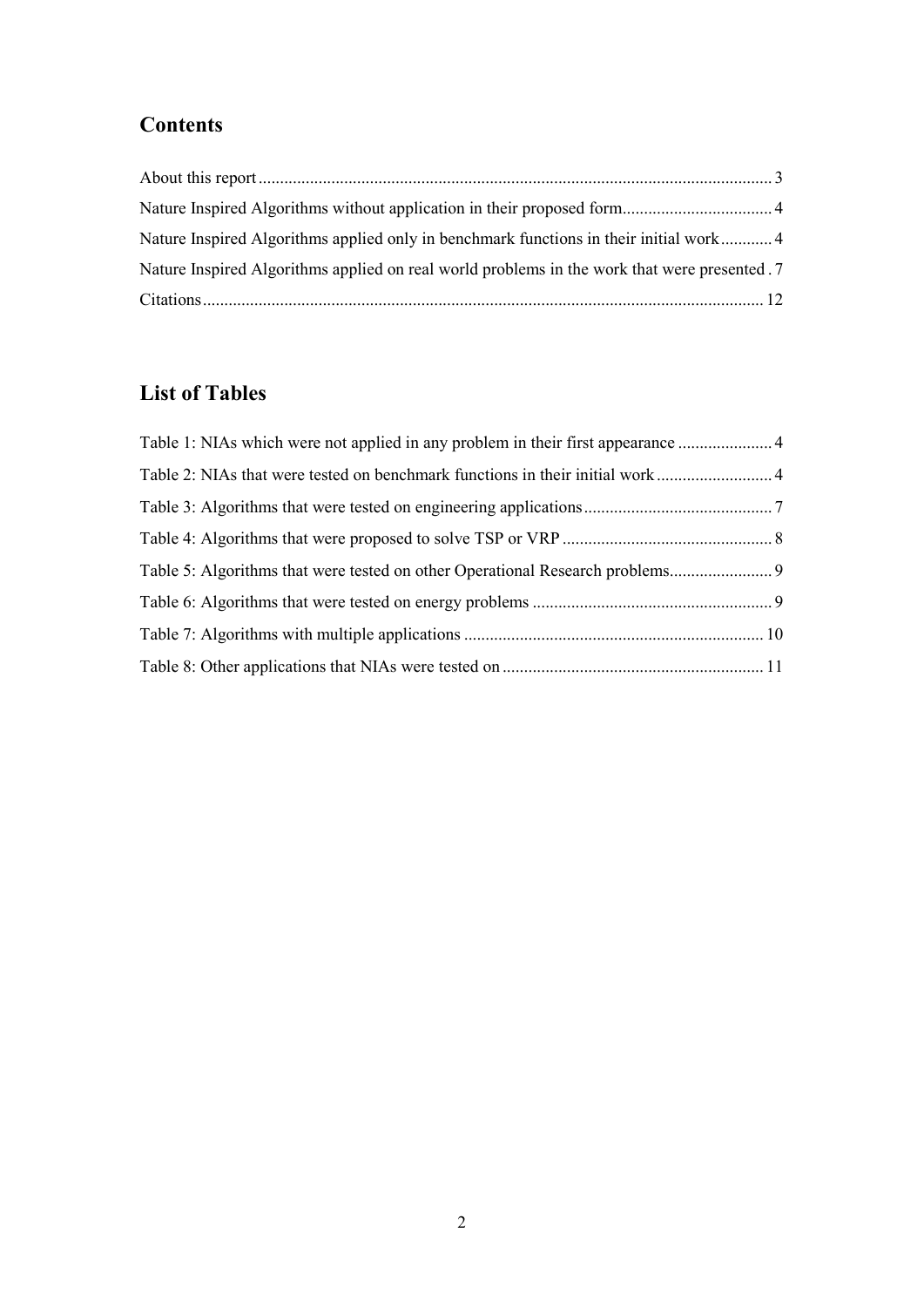# **Contents**

| Nature Inspired Algorithms applied only in benchmark functions in their initial work4        |  |
|----------------------------------------------------------------------------------------------|--|
| Nature Inspired Algorithms applied on real world problems in the work that were presented .7 |  |
|                                                                                              |  |

# **List of Tables**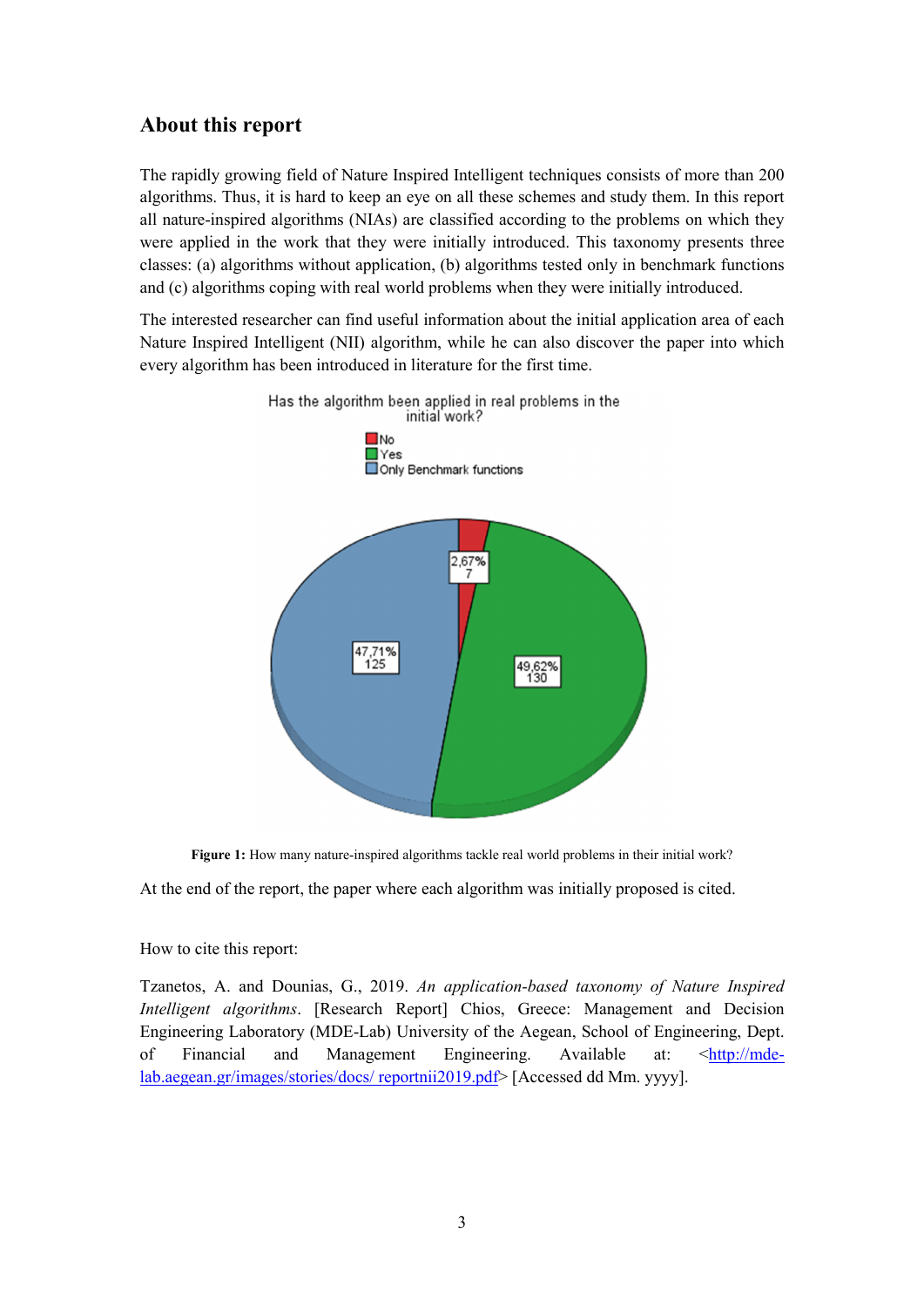### **About this report**

The rapidly growing field of Nature Inspired Intelligent techniques consists of more than 200 algorithms. Thus, it is hard to keep an eye on all these schemes and study them. In this report all nature-inspired algorithms (NIAs) are classified according to the problems on which they were applied in the work that they were initially introduced. This taxonomy presents three classes: (a) algorithms without application, (b) algorithms tested only in benchmark functions and (c) algorithms coping with real world problems when they were initially introduced.

The interested researcher can find useful information about the initial application area of each Nature Inspired Intelligent (NII) algorithm, while he can also discover the paper into which every algorithm has been introduced in literature for the first time.





At the end of the report, the paper where each algorithm was initially proposed is cited.

#### How to cite this report:

Tzanetos, A. and Dounias, G., 2019. *An application-based taxonomy of Nature Inspired Intelligent algorithms*. [Research Report] Chios, Greece: Management and Decision Engineering Laboratory (MDE-Lab) University of the Aegean, School of Engineering, Dept. of Financial and Management Engineering. Available at: <http://mdelab.aegean.gr/images/stories/docs/ reportnii2019.pdf> [Accessed dd Mm. yyyy].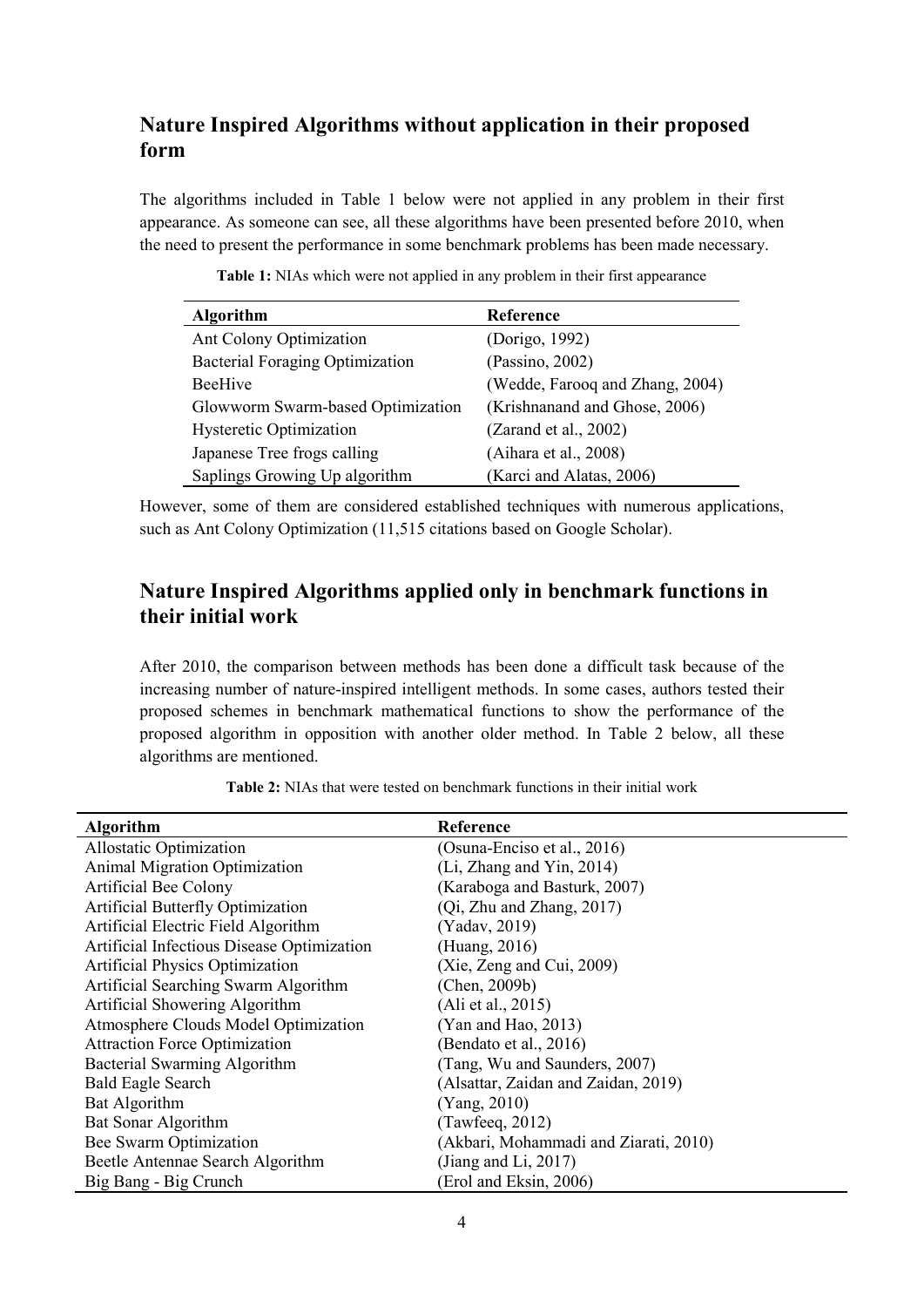# **Nature Inspired Algorithms without application in their proposed form**

The algorithms included in Table 1 below were not applied in any problem in their first appearance. As someone can see, all these algorithms have been presented before 2010, when the need to present the performance in some benchmark problems has been made necessary.

| <b>Algorithm</b>                  | Reference                       |
|-----------------------------------|---------------------------------|
| Ant Colony Optimization           | (Dorigo, 1992)                  |
| Bacterial Foraging Optimization   | (Passino, 2002)                 |
| <b>BeeHive</b>                    | (Wedde, Farooq and Zhang, 2004) |
| Glowworm Swarm-based Optimization | (Krishnanand and Ghose, 2006)   |
| <b>Hysteretic Optimization</b>    | (Zarand et al., 2002)           |
| Japanese Tree frogs calling       | (Aihara et al., 2008)           |
| Saplings Growing Up algorithm     | (Karci and Alatas, 2006)        |

**Table 1:** NIAs which were not applied in any problem in their first appearance

However, some of them are considered established techniques with numerous applications, such as Ant Colony Optimization (11,515 citations based on Google Scholar).

### **Nature Inspired Algorithms applied only in benchmark functions in their initial work**

After 2010, the comparison between methods has been done a difficult task because of the increasing number of nature-inspired intelligent methods. In some cases, authors tested their proposed schemes in benchmark mathematical functions to show the performance of the proposed algorithm in opposition with another older method. In Table 2 below, all these algorithms are mentioned.

**Table 2:** NIAs that were tested on benchmark functions in their initial work

| <b>Algorithm</b>                           | Reference                             |
|--------------------------------------------|---------------------------------------|
| Allostatic Optimization                    | (Osuna-Enciso et al., 2016)           |
| Animal Migration Optimization              | (Li, Zhang and Yin, 2014)             |
| Artificial Bee Colony                      | (Karaboga and Basturk, 2007)          |
| Artificial Butterfly Optimization          | (Qi, Zhu and Zhang, 2017)             |
| Artificial Electric Field Algorithm        | (Yadav, 2019)                         |
| Artificial Infectious Disease Optimization | (Huang, 2016)                         |
| <b>Artificial Physics Optimization</b>     | (Xie, Zeng and Cui, 2009)             |
| Artificial Searching Swarm Algorithm       | (Chen, 2009b)                         |
| Artificial Showering Algorithm             | (Ali et al., 2015)                    |
| Atmosphere Clouds Model Optimization       | (Yan and Hao, 2013)                   |
| <b>Attraction Force Optimization</b>       | (Bendato et al., 2016)                |
| Bacterial Swarming Algorithm               | (Tang, Wu and Saunders, 2007)         |
| <b>Bald Eagle Search</b>                   | (Alsattar, Zaidan and Zaidan, 2019)   |
| Bat Algorithm                              | (Yang, 2010)                          |
| Bat Sonar Algorithm                        | (Tawfeed, 2012)                       |
| Bee Swarm Optimization                     | (Akbari, Mohammadi and Ziarati, 2010) |
| Beetle Antennae Search Algorithm           | (Jiang and Li, $2017$ )               |
| Big Bang - Big Crunch                      | (Erol and Eksin, 2006)                |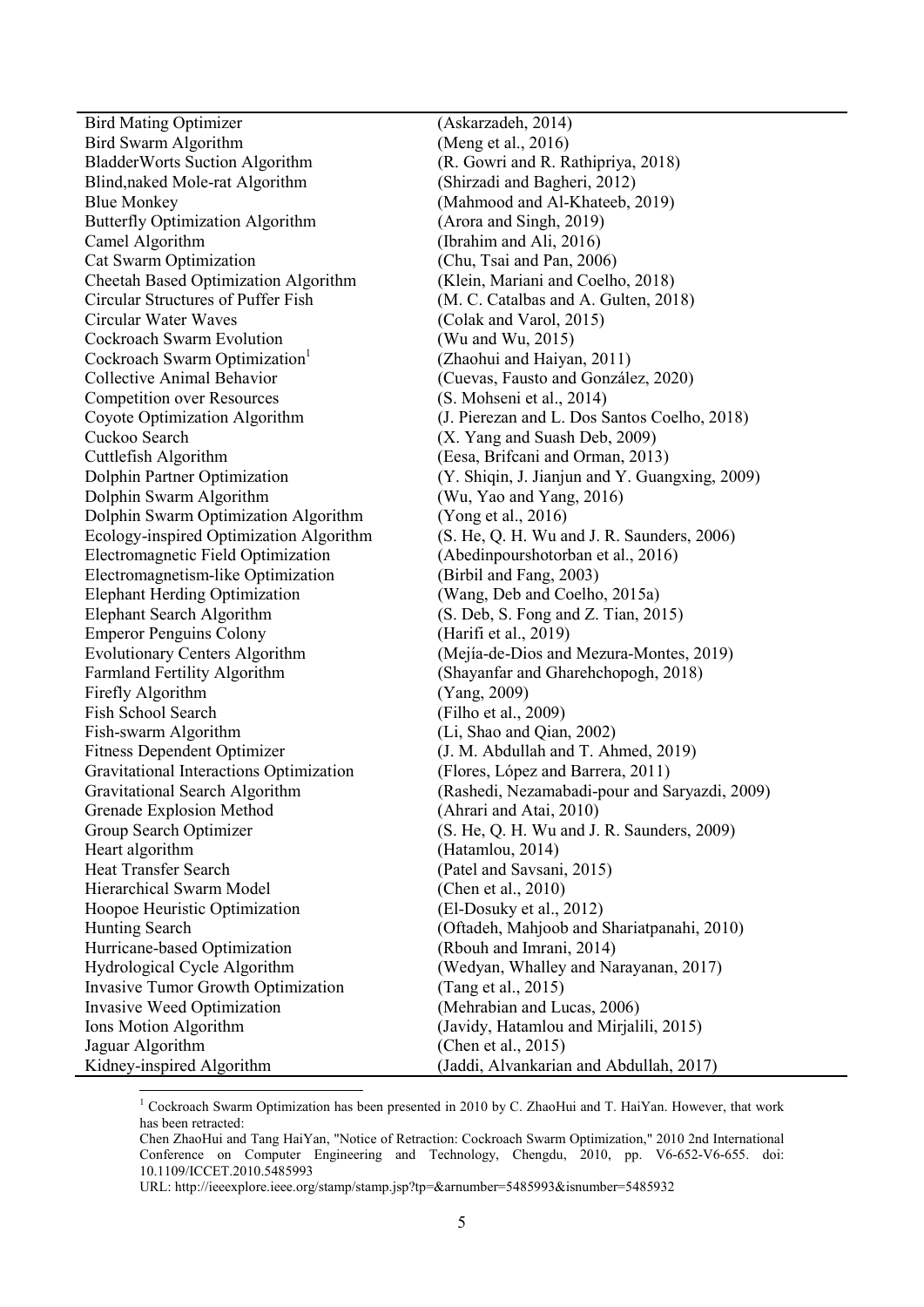Bird Mating Optimizer (Askarzadeh, 2014) Bird Swarm Algorithm (Meng et al., 2016)<br>Bladder Worts Suction Algorithm (R. Gowri and R. Rathipriya, 2018) BladderWorts Suction Algorithm Blind,naked Mole-rat Algorithm (Shirzadi and Bagheri, 2012) Blue Monkey (Mahmood and Al-Khateeb, 2019) Butterfly Optimization Algorithm (Arora and Singh, 2019) Camel Algorithm (Ibrahim and Ali, 2016) Cat Swarm Optimization (Chu, Tsai and Pan, 2006) Cheetah Based Optimization Algorithm (Klein, Mariani and Coelho, 2018) Circular Structures of Puffer Fish (M. C. Catalbas and A. Gulten, 2018)<br>Circular Water Wayes (Colak and Varol 2015) Cockroach Swarm Evolution (Wu and Wu, 2015) Cockroach Swarm Optimization<sup>1</sup> Collective Animal Behavior (Cuevas, Fausto and González, 2020) Competition over Resources (S. Mohseni et al., 2014) Coyote Optimization Algorithm (J. Pierezan and L. Dos Santos Coelho, 2018) Cuckoo Search (X. Yang and Suash Deb, 2009) Cuttlefish Algorithm (Eesa, Brifcani and Orman, 2013) Dolphin Partner Optimization (Y. Shiqin, J. Jianjun and Y. Guangxing, 2009) Dolphin Swarm Algorithm (Wu, Yao and Yang, 2016) Dolphin Swarm Optimization Algorithm (Yong et al., 2016) Ecology-inspired Optimization Algorithm (S. He, Q. H. Wu and J. R. Saunders, 2006) Electromagnetic Field Optimization (Abedinpourshotorban et al., 2016) Electromagnetism-like Optimization (Birbil and Fang, 2003) Elephant Herding Optimization (Wang, Deb and Coelho, 2015a) Elephant Search Algorithm (S. Deb, S. Fong and Z. Tian, 2015) Emperor Penguins Colony (Harifi et al., 2019) Evolutionary Centers Algorithm (Mejía-de-Dios and Mezura-Montes, 2019) Farmland Fertility Algorithm (Shayanfar and Gharehchopogh, 2018) Firefly Algorithm (Yang, 2009) Fish School Search (Filho et al., 2009) Fish-swarm Algorithm (Li, Shao and Qian, 2002) Fitness Dependent Optimizer (J. M. Abdullah and T. Ahmed, 2019) Gravitational Interactions Optimization (Flores, López and Barrera, 2011)<br>Gravitational Search Algorithm (Rashedi, Nezamabadi-pour and S Grenade Explosion Method (Ahrari and Atai, 2010) Group Search Optimizer (S. He, Q. H. Wu and J. R. Saunders, 2009) Heart algorithm (Hatamlou, 2014) Heat Transfer Search (Patel and Savsani, 2015) Hierarchical Swarm Model (Chen et al., 2010) Hoopoe Heuristic Optimization (El-Dosuky et al., 2012) Hunting Search (Oftadeh, Mahjoob and Shariatpanahi, 2010) Hurricane-based Optimization (Rbouh and Imrani, 2014) Hydrological Cycle Algorithm (Wedyan, Whalley and Narayanan, 2017) Invasive Tumor Growth Optimization (Tang et al., 2015) Invasive Weed Optimization (Mehrabian and Lucas, 2006) Ions Motion Algorithm (Javidy, Hatamlou and Mirjalili, 2015) Jaguar Algorithm (Chen et al., 2015)

 $(Colak and Varol, 2015)$  (Zhaohui and Haiyan, 2011) (Rashedi, Nezamabadi-pour and Saryazdi, 2009) Kidney-inspired Algorithm (Jaddi, Alvankarian and Abdullah, 2017)

-<sup>1</sup> Cockroach Swarm Optimization has been presented in 2010 by C. ZhaoHui and T. HaiYan. However, that work has been retracted:

Chen ZhaoHui and Tang HaiYan, "Notice of Retraction: Cockroach Swarm Optimization," 2010 2nd International Conference on Computer Engineering and Technology, Chengdu, 2010, pp. V6-652-V6-655. doi: 10.1109/ICCET.2010.5485993

URL: http://ieeexplore.ieee.org/stamp/stamp.jsp?tp=&arnumber=5485993&isnumber=5485932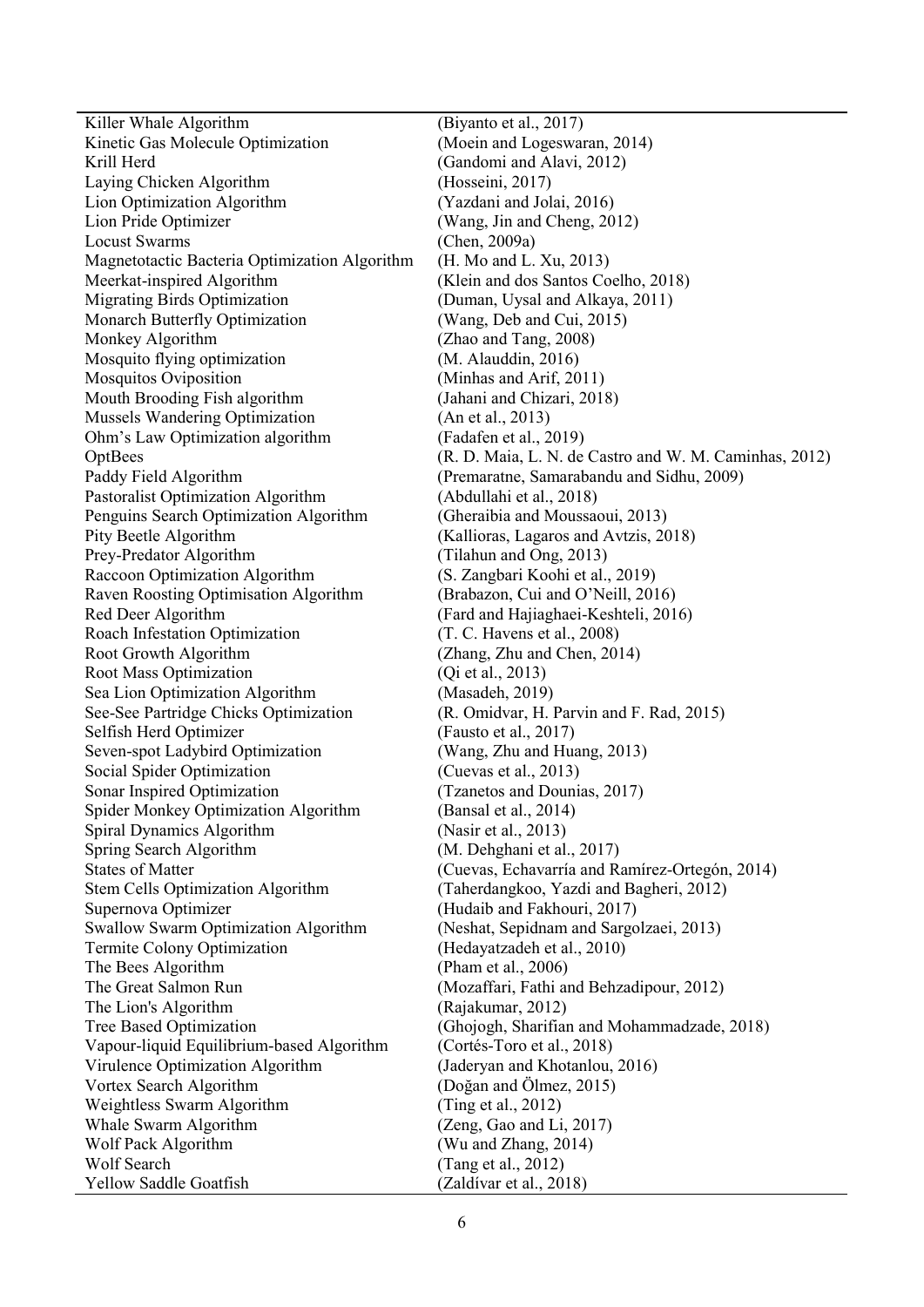Killer Whale Algorithm (Biyanto et al., 2017) Kinetic Gas Molecule Optimization (Moein and Logeswaran, 2014) Krill Herd (Gandomi and Alavi, 2012) Laying Chicken Algorithm (Hosseini, 2017) Lion Optimization Algorithm (Yazdani and Jolai, 2016) Lion Pride Optimizer (Wang, Jin and Cheng, 2012) Locust Swarms (Chen, 2009a) Magnetotactic Bacteria Optimization Algorithm (H. Mo and L. Xu, 2013) Meerkat-inspired Algorithm (Klein and dos Santos Coelho, 2018) Migrating Birds Optimization (Duman, Uysal and Alkaya, 2011) Monarch Butterfly Optimization (Wang, Deb and Cui, 2015) Monkey Algorithm (Zhao and Tang, 2008) Mosquito flying optimization (M. Alauddin, 2016) Mosquitos Oviposition (Minhas and Arif, 2011) Mouth Brooding Fish algorithm (Jahani and Chizari, 2018) Mussels Wandering Optimization (An et al., 2013) Ohm's Law Optimization algorithm (Fadafen et al., 2019) Paddy Field Algorithm (Premaratne, Samarabandu and Sidhu, 2009) Pastoralist Optimization Algorithm (Abdullahi et al., 2018) Penguins Search Optimization Algorithm (Gheraibia and Moussaoui, 2013) Pity Beetle Algorithm (Kallioras, Lagaros and Avtzis, 2018) Prey-Predator Algorithm (Tilahun and Ong, 2013)<br>Raccoon Optimization Algorithm (S. Zangbari Koohi et al. Raven Roosting Optimisation Algorithm (Brabazon, Cui and O'Neill, 2016) Red Deer Algorithm (Fard and Hajiaghaei-Keshteli, 2016) Roach Infestation Optimization (T. C. Havens et al., 2008) Root Growth Algorithm (Zhang, Zhu and Chen, 2014) Root Mass Optimization (Oi et al., 2013) Sea Lion Optimization Algorithm (Masadeh, 2019) See-See Partridge Chicks Optimization (R. Omidvar, H. Parvin and F. Rad, 2015) Selfish Herd Optimizer (Fausto et al., 2017) Seven-spot Ladybird Optimization (Wang, Zhu and Huang, 2013) Social Spider Optimization (Cuevas et al., 2013)<br>
Sonar Inspired Optimization (Tzanetos and Dounis Spider Monkey Optimization Algorithm (Bansal et al., 2014) Spiral Dynamics Algorithm (Nasir et al., 2013) Spring Search Algorithm (M. Dehghani et al., 2017) States of Matter (Cuevas, Echavarría and Ramírez-Ortegón, 2014) Stem Cells Optimization Algorithm (Taherdangkoo, Yazdi and Bagheri, 2012)<br>Supernova Optimizer (Hudaib and Fakhouri, 2017) Swallow Swarm Optimization Algorithm (Neshat, Sepidnam and Sargolzaei, 2013) Termite Colony Optimization (Hedayatzadeh et al., 2010) The Bees Algorithm (Pham et al., 2006) The Great Salmon Run (Mozaffari, Fathi and Behzadipour, 2012) The Lion's Algorithm (Rajakumar, 2012) Tree Based Optimization (Ghojogh, Sharifian and Mohammadzade, 2018) Vapour-liquid Equilibrium-based Algorithm (Cortés-Toro et al., 2018) Virulence Optimization Algorithm (Jaderyan and Khotanlou, 2016) Vortex Search Algorithm (Doğan and Ölmez, 2015) Weightless Swarm Algorithm (Ting et al., 2012) Whale Swarm Algorithm (Zeng, Gao and Li, 2017) Wolf Pack Algorithm (Wu and Zhang, 2014) Wolf Search (Tang et al., 2012) Yellow Saddle Goatfish (Zaldívar et al., 2018)

OptBees (R. D. Maia, L. N. de Castro and W. M. Caminhas, 2012) (S. Zangbari Koohi et al., 2019)  $(Tzanetos and Dounias, 2017)$ (Hudaib and Fakhouri, 2017)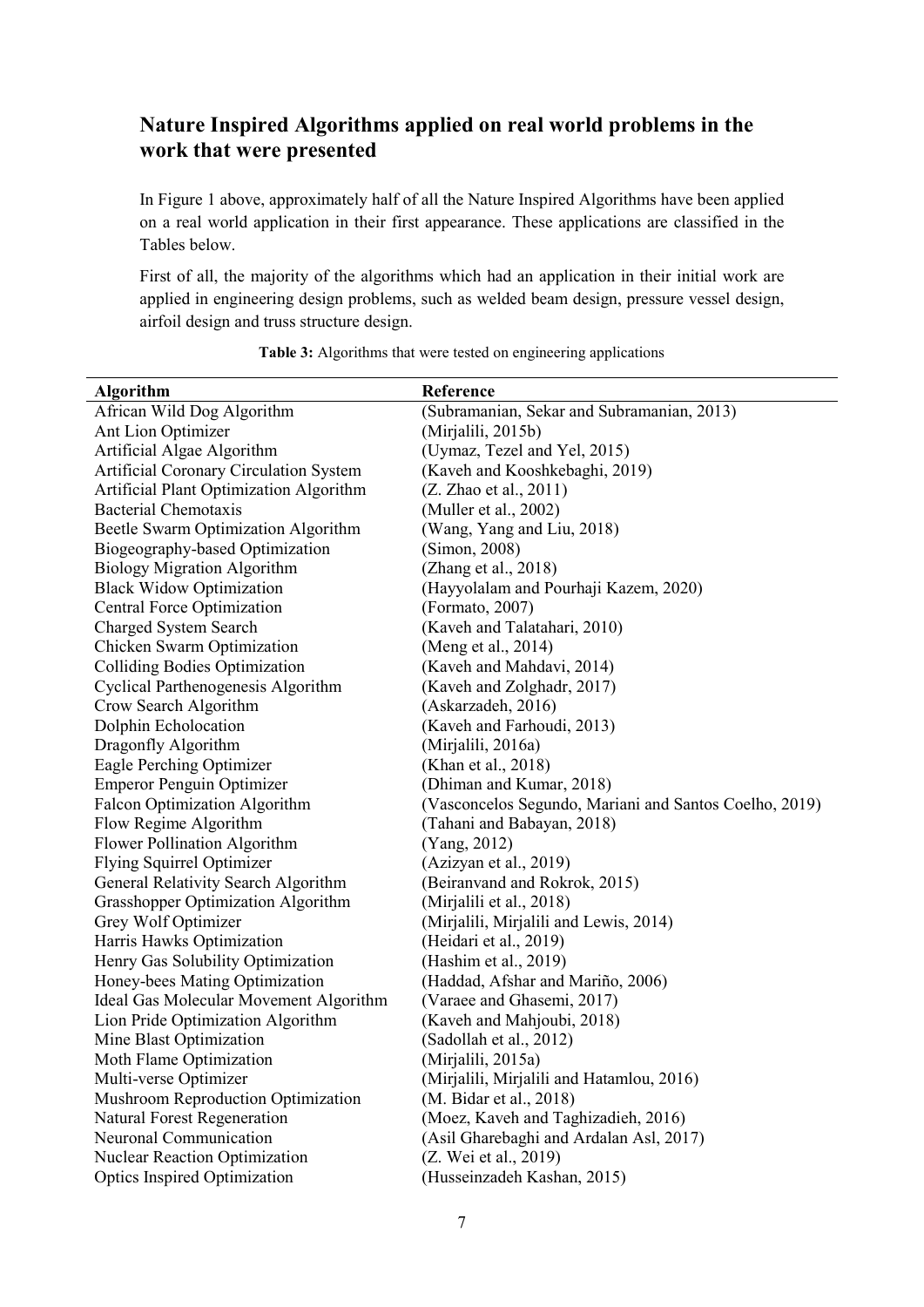## **Nature Inspired Algorithms applied on real world problems in the work that were presented**

In Figure 1 above, approximately half of all the Nature Inspired Algorithms have been applied on a real world application in their first appearance. These applications are classified in the Tables below.

First of all, the majority of the algorithms which had an application in their initial work are applied in engineering design problems, such as welded beam design, pressure vessel design, airfoil design and truss structure design.

| <b>Algorithm</b>                              | Reference                                              |
|-----------------------------------------------|--------------------------------------------------------|
| African Wild Dog Algorithm                    | (Subramanian, Sekar and Subramanian, 2013)             |
| Ant Lion Optimizer                            | (Mirjalili, 2015b)                                     |
| Artificial Algae Algorithm                    | (Uymaz, Tezel and Yel, 2015)                           |
| <b>Artificial Coronary Circulation System</b> | (Kaveh and Kooshkebaghi, 2019)                         |
| Artificial Plant Optimization Algorithm       | (Z. Zhao et al., 2011)                                 |
| <b>Bacterial Chemotaxis</b>                   | (Muller et al., 2002)                                  |
| Beetle Swarm Optimization Algorithm           | (Wang, Yang and Liu, 2018)                             |
| Biogeography-based Optimization               | (Simon, 2008)                                          |
| <b>Biology Migration Algorithm</b>            | (Zhang et al., 2018)                                   |
| <b>Black Widow Optimization</b>               | (Hayyolalam and Pourhaji Kazem, 2020)                  |
| Central Force Optimization                    | (Formato, 2007)                                        |
| Charged System Search                         | (Kaveh and Talatahari, 2010)                           |
| Chicken Swarm Optimization                    | (Meng et al., 2014)                                    |
| <b>Colliding Bodies Optimization</b>          | (Kaveh and Mahdavi, 2014)                              |
| Cyclical Parthenogenesis Algorithm            | (Kaveh and Zolghadr, 2017)                             |
| Crow Search Algorithm                         | (Askarzadeh, 2016)                                     |
| Dolphin Echolocation                          | (Kaveh and Farhoudi, 2013)                             |
| Dragonfly Algorithm                           | (Mirjalili, 2016a)                                     |
| Eagle Perching Optimizer                      | (Khan et al., 2018)                                    |
| <b>Emperor Penguin Optimizer</b>              | (Dhiman and Kumar, 2018)                               |
| <b>Falcon Optimization Algorithm</b>          | (Vasconcelos Segundo, Mariani and Santos Coelho, 2019) |
| Flow Regime Algorithm                         | (Tahani and Babayan, 2018)                             |
| Flower Pollination Algorithm                  | (Yang, 2012)                                           |
| Flying Squirrel Optimizer                     | (Azizyan et al., 2019)                                 |
| General Relativity Search Algorithm           | (Beiranvand and Rokrok, 2015)                          |
| Grasshopper Optimization Algorithm            | (Mirjalili et al., 2018)                               |
| Grey Wolf Optimizer                           | (Mirjalili, Mirjalili and Lewis, 2014)                 |
| Harris Hawks Optimization                     | (Heidari et al., 2019)                                 |
| Henry Gas Solubility Optimization             | (Hashim et al., 2019)                                  |
| Honey-bees Mating Optimization                | (Haddad, Afshar and Mariño, 2006)                      |
| <b>Ideal Gas Molecular Movement Algorithm</b> | (Varaee and Ghasemi, 2017)                             |
| Lion Pride Optimization Algorithm             | (Kaveh and Mahjoubi, 2018)                             |
| Mine Blast Optimization                       | (Sadollah et al., 2012)                                |
| Moth Flame Optimization                       | (Mirjalili, 2015a)                                     |
| Multi-verse Optimizer                         | (Mirjalili, Mirjalili and Hatamlou, 2016)              |
| Mushroom Reproduction Optimization            | (M. Bidar et al., 2018)                                |
| <b>Natural Forest Regeneration</b>            | (Moez, Kaveh and Taghizadieh, 2016)                    |
| Neuronal Communication                        | (Asil Gharebaghi and Ardalan Asl, 2017)                |
| <b>Nuclear Reaction Optimization</b>          | (Z. Wei et al., 2019)                                  |
| <b>Optics Inspired Optimization</b>           | (Husseinzadeh Kashan, 2015)                            |

**Table 3:** Algorithms that were tested on engineering applications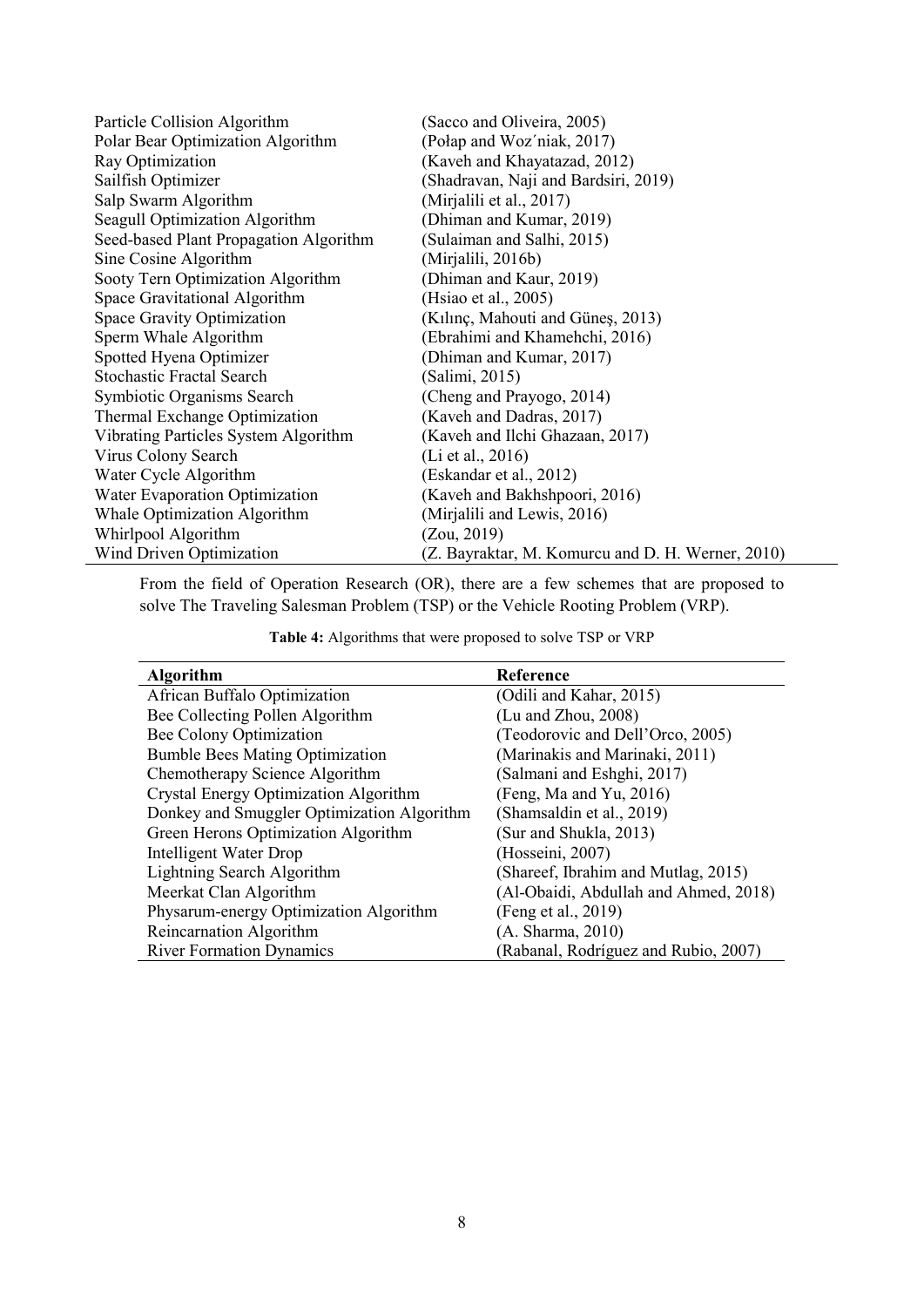| Particle Collision Algorithm           | (Sacco and Oliveira, 2005)                        |
|----------------------------------------|---------------------------------------------------|
| Polar Bear Optimization Algorithm      | (Połap and Woz'niak, 2017)                        |
| Ray Optimization                       | (Kaveh and Khayatazad, 2012)                      |
| Sailfish Optimizer                     | (Shadravan, Naji and Bardsiri, 2019)              |
| Salp Swarm Algorithm                   | (Mirjalili et al., 2017)                          |
| Seagull Optimization Algorithm         | (Dhiman and Kumar, 2019)                          |
| Seed-based Plant Propagation Algorithm | (Sulaiman and Salhi, 2015)                        |
| Sine Cosine Algorithm                  | (Mirjalili, 2016b)                                |
| Sooty Tern Optimization Algorithm      | (Dhiman and Kaur, 2019)                           |
| Space Gravitational Algorithm          | (Hsiao et al., 2005)                              |
| Space Gravity Optimization             | (Kılınç, Mahouti and Güneş, 2013)                 |
| Sperm Whale Algorithm                  | (Ebrahimi and Khamehchi, 2016)                    |
| Spotted Hyena Optimizer                | (Dhiman and Kumar, 2017)                          |
| <b>Stochastic Fractal Search</b>       | (Salimi, 2015)                                    |
| Symbiotic Organisms Search             | (Cheng and Prayogo, 2014)                         |
| Thermal Exchange Optimization          | (Kaveh and Dadras, 2017)                          |
| Vibrating Particles System Algorithm   | (Kaveh and Ilchi Ghazaan, 2017)                   |
| Virus Colony Search                    | (Li et al., 2016)                                 |
| Water Cycle Algorithm                  | (Eskandar et al., 2012)                           |
| Water Evaporation Optimization         | (Kaveh and Bakhshpoori, 2016)                     |
| Whale Optimization Algorithm           | (Mirjalili and Lewis, 2016)                       |
| Whirlpool Algorithm                    | (Zou, 2019)                                       |
| Wind Driven Optimization               | (Z. Bayraktar, M. Komurcu and D. H. Werner, 2010) |

From the field of Operation Research (OR), there are a few schemes that are proposed to solve The Traveling Salesman Problem (TSP) or the Vehicle Rooting Problem (VRP).

|  | Table 4: Algorithms that were proposed to solve TSP or VRP |  |  |  |
|--|------------------------------------------------------------|--|--|--|
|--|------------------------------------------------------------|--|--|--|

| <b>Algorithm</b>                           | Reference                             |
|--------------------------------------------|---------------------------------------|
| African Buffalo Optimization               | (Odili and Kahar, 2015)               |
| Bee Collecting Pollen Algorithm            | (Lu and Zhou, 2008)                   |
| Bee Colony Optimization                    | (Teodorovic and Dell'Orco, 2005)      |
| <b>Bumble Bees Mating Optimization</b>     | (Marinakis and Marinaki, 2011)        |
| Chemotherapy Science Algorithm             | (Salmani and Eshghi, 2017)            |
| Crystal Energy Optimization Algorithm      | (Feng, Ma and Yu, 2016)               |
| Donkey and Smuggler Optimization Algorithm | (Shamsaldin et al., 2019)             |
| Green Herons Optimization Algorithm        | (Sur and Shukla, 2013)                |
| <b>Intelligent Water Drop</b>              | (Hosseini, 2007)                      |
| Lightning Search Algorithm                 | (Shareef, Ibrahim and Mutlag, 2015)   |
| Meerkat Clan Algorithm                     | (Al-Obaidi, Abdullah and Ahmed, 2018) |
| Physarum-energy Optimization Algorithm     | (Feng et al., 2019)                   |
| Reincarnation Algorithm                    | (A. Sharma, 2010)                     |
| <b>River Formation Dynamics</b>            | (Rabanal, Rodríguez and Rubio, 2007)  |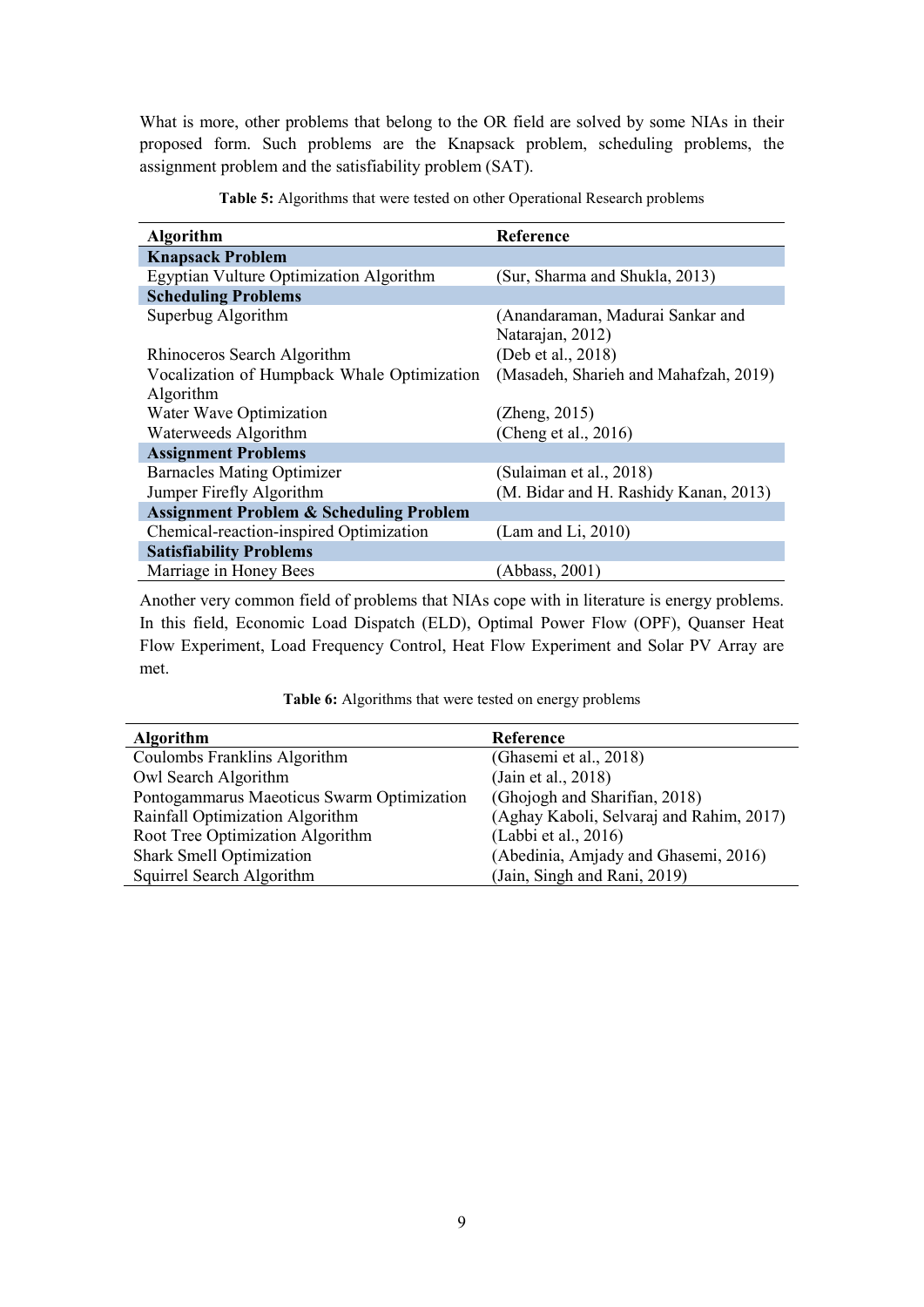What is more, other problems that belong to the OR field are solved by some NIAs in their proposed form. Such problems are the Knapsack problem, scheduling problems, the assignment problem and the satisfiability problem (SAT).

| <b>Algorithm</b>                                   | Reference                             |
|----------------------------------------------------|---------------------------------------|
| <b>Knapsack Problem</b>                            |                                       |
| Egyptian Vulture Optimization Algorithm            | (Sur, Sharma and Shukla, 2013)        |
| <b>Scheduling Problems</b>                         |                                       |
| Superbug Algorithm                                 | (Anandaraman, Madurai Sankar and      |
|                                                    | Natarajan, 2012)                      |
| Rhinoceros Search Algorithm                        | (Deb et al., 2018)                    |
| Vocalization of Humpback Whale Optimization        | (Masadeh, Sharieh and Mahafzah, 2019) |
| Algorithm                                          |                                       |
| Water Wave Optimization                            | (Zheng, 2015)                         |
| Waterweeds Algorithm                               | (Cheng et al., 2016)                  |
| <b>Assignment Problems</b>                         |                                       |
| <b>Barnacles Mating Optimizer</b>                  | (Sulaiman et al., 2018)               |
| Jumper Firefly Algorithm                           | (M. Bidar and H. Rashidy Kanan, 2013) |
| <b>Assignment Problem &amp; Scheduling Problem</b> |                                       |
| Chemical-reaction-inspired Optimization            | (Lam and Li, 2010)                    |
| <b>Satisfiability Problems</b>                     |                                       |
| Marriage in Honey Bees                             | (Abbass, 2001)                        |

**Table 5:** Algorithms that were tested on other Operational Research problems

Another very common field of problems that NIAs cope with in literature is energy problems. In this field, Economic Load Dispatch (ELD), Optimal Power Flow (OPF), Quanser Heat Flow Experiment, Load Frequency Control, Heat Flow Experiment and Solar PV Array are met.

| <b>Algorithm</b>                           | Reference                                |
|--------------------------------------------|------------------------------------------|
| Coulombs Franklins Algorithm               | (Ghasemi et al., 2018)                   |
| Owl Search Algorithm                       | (Jain et al., 2018)                      |
| Pontogammarus Maeoticus Swarm Optimization | (Ghojogh and Sharifian, 2018)            |
| Rainfall Optimization Algorithm            | (Aghay Kaboli, Selvaraj and Rahim, 2017) |
| Root Tree Optimization Algorithm           | (Labbi et al., 2016)                     |
| <b>Shark Smell Optimization</b>            | (Abedinia, Amjady and Ghasemi, 2016)     |
| Squirrel Search Algorithm                  | (Jain, Singh and Rani, 2019)             |

 $\overline{a}$ 

**Table 6:** Algorithms that were tested on energy problems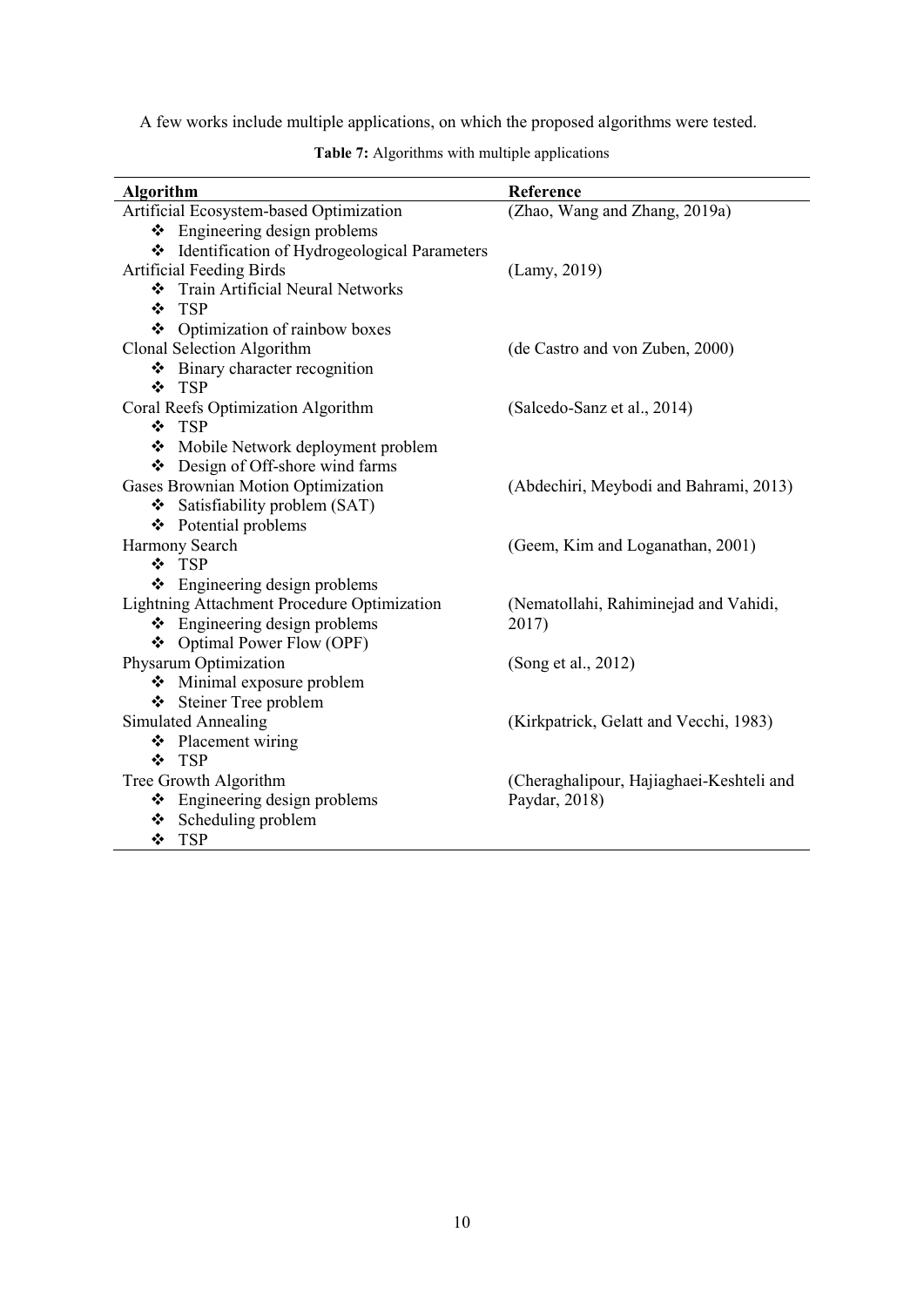A few works include multiple applications, on which the proposed algorithms were tested.

| <b>Algorithm</b>                                   | Reference                                |
|----------------------------------------------------|------------------------------------------|
| Artificial Ecosystem-based Optimization            | (Zhao, Wang and Zhang, 2019a)            |
| $\div$ Engineering design problems                 |                                          |
| ❖ Identification of Hydrogeological Parameters     |                                          |
| <b>Artificial Feeding Birds</b>                    | (Lamy, 2019)                             |
| Train Artificial Neural Networks                   |                                          |
| ❖ TSP                                              |                                          |
| ❖ Optimization of rainbow boxes                    |                                          |
| Clonal Selection Algorithm                         | (de Castro and von Zuben, 2000)          |
| ❖ Binary character recognition                     |                                          |
| ❖ TSP                                              |                                          |
| Coral Reefs Optimization Algorithm                 | (Salcedo-Sanz et al., 2014)              |
| ❖ TSP                                              |                                          |
| Mobile Network deployment problem                  |                                          |
| Design of Off-shore wind farms                     |                                          |
| Gases Brownian Motion Optimization                 | (Abdechiri, Meybodi and Bahrami, 2013)   |
| $\div$ Satisfiability problem (SAT)                |                                          |
| ❖ Potential problems                               |                                          |
| Harmony Search                                     | (Geem, Kim and Loganathan, 2001)         |
| ❖ TSP                                              |                                          |
| $\div$ Engineering design problems                 |                                          |
| <b>Lightning Attachment Procedure Optimization</b> | (Nematollahi, Rahiminejad and Vahidi,    |
| ❖ Engineering design problems                      | 2017)                                    |
| ❖ Optimal Power Flow (OPF)                         |                                          |
| Physarum Optimization                              | (Song et al., 2012)                      |
| Minimal exposure problem                           |                                          |
| ❖ Steiner Tree problem                             |                                          |
| <b>Simulated Annealing</b>                         | (Kirkpatrick, Gelatt and Vecchi, 1983)   |
| ❖ Placement wiring                                 |                                          |
| ❖ TSP                                              |                                          |
| Tree Growth Algorithm                              | (Cheraghalipour, Hajiaghaei-Keshteli and |
| $\div$ Engineering design problems                 | Paydar, 2018)                            |
| ❖ Scheduling problem                               |                                          |
| ❖ TSP                                              |                                          |

**Table 7:** Algorithms with multiple applications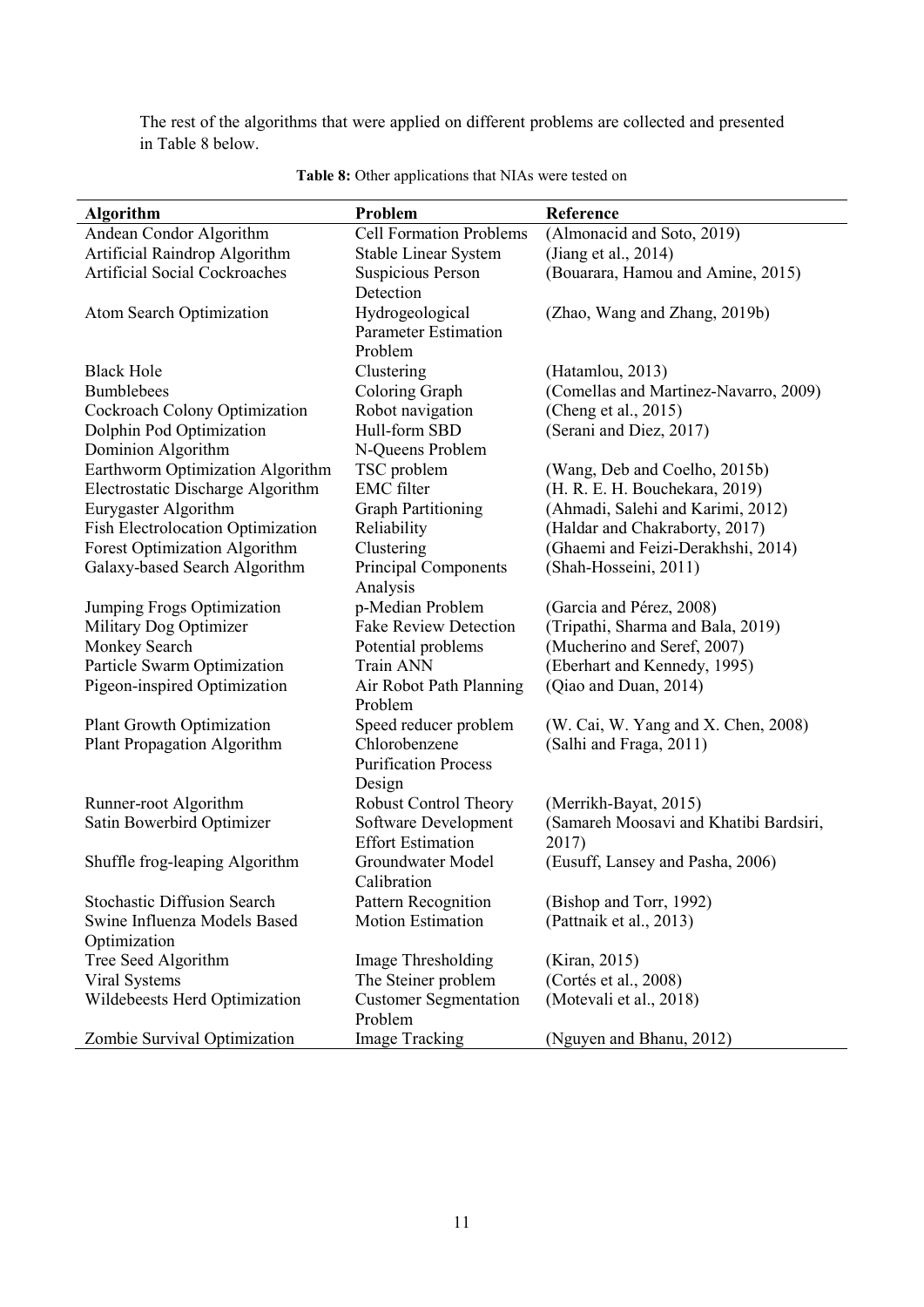The rest of the algorithms that were applied on different problems are collected and presented in Table 8 below.

| <b>Algorithm</b>                                                   | Problem                                         | Reference                                          |
|--------------------------------------------------------------------|-------------------------------------------------|----------------------------------------------------|
| Andean Condor Algorithm                                            | <b>Cell Formation Problems</b>                  | (Almonacid and Soto, 2019)                         |
| Artificial Raindrop Algorithm                                      | <b>Stable Linear System</b>                     | (Jiang et al., 2014)                               |
| <b>Artificial Social Cockroaches</b>                               | <b>Suspicious Person</b>                        | (Bouarara, Hamou and Amine, 2015)                  |
|                                                                    | Detection                                       |                                                    |
| <b>Atom Search Optimization</b>                                    | Hydrogeological                                 | (Zhao, Wang and Zhang, 2019b)                      |
|                                                                    | <b>Parameter Estimation</b>                     |                                                    |
|                                                                    | Problem                                         |                                                    |
| <b>Black Hole</b>                                                  | Clustering                                      | (Hatamlou, 2013)                                   |
| <b>Bumblebees</b>                                                  | Coloring Graph                                  | (Comellas and Martinez-Navarro, 2009)              |
| Cockroach Colony Optimization                                      | Robot navigation                                | (Cheng et al., 2015)                               |
| Dolphin Pod Optimization                                           | Hull-form SBD                                   | (Serani and Diez, 2017)                            |
| Dominion Algorithm                                                 | N-Queens Problem                                |                                                    |
| Earthworm Optimization Algorithm                                   | TSC problem                                     | (Wang, Deb and Coelho, 2015b)                      |
| Electrostatic Discharge Algorithm                                  | <b>EMC</b> filter                               | (H. R. E. H. Bouchekara, 2019)                     |
| Eurygaster Algorithm                                               | <b>Graph Partitioning</b>                       | (Ahmadi, Salehi and Karimi, 2012)                  |
| <b>Fish Electrolocation Optimization</b>                           | Reliability                                     | (Haldar and Chakraborty, 2017)                     |
| <b>Forest Optimization Algorithm</b>                               | Clustering                                      | (Ghaemi and Feizi-Derakhshi, 2014)                 |
| Galaxy-based Search Algorithm                                      | <b>Principal Components</b>                     | (Shah-Hosseini, 2011)                              |
|                                                                    | Analysis                                        |                                                    |
| Jumping Frogs Optimization                                         | p-Median Problem                                | (Garcia and Pérez, 2008)                           |
| Military Dog Optimizer                                             | <b>Fake Review Detection</b>                    | (Tripathi, Sharma and Bala, 2019)                  |
| Monkey Search                                                      | Potential problems                              | (Mucherino and Seref, 2007)                        |
| Particle Swarm Optimization                                        | <b>Train ANN</b>                                | (Eberhart and Kennedy, 1995)                       |
| Pigeon-inspired Optimization                                       | Air Robot Path Planning                         | (Qiao and Duan, 2014)                              |
|                                                                    | Problem                                         |                                                    |
| <b>Plant Growth Optimization</b>                                   | Speed reducer problem                           | (W. Cai, W. Yang and X. Chen, 2008)                |
| <b>Plant Propagation Algorithm</b>                                 | Chlorobenzene                                   | (Salhi and Fraga, 2011)                            |
|                                                                    | <b>Purification Process</b>                     |                                                    |
|                                                                    | Design                                          |                                                    |
| Runner-root Algorithm                                              | <b>Robust Control Theory</b>                    | (Merrikh-Bayat, 2015)                              |
| Satin Bowerbird Optimizer                                          | Software Development                            | (Samareh Moosavi and Khatibi Bardsiri,             |
|                                                                    | <b>Effort Estimation</b>                        | 2017)                                              |
| Shuffle frog-leaping Algorithm                                     | Groundwater Model                               | (Eusuff, Lansey and Pasha, 2006)                   |
|                                                                    | Calibration                                     |                                                    |
| <b>Stochastic Diffusion Search</b><br>Swine Influenza Models Based | Pattern Recognition<br><b>Motion Estimation</b> | (Bishop and Torr, 1992)<br>(Pattnaik et al., 2013) |
|                                                                    |                                                 |                                                    |
| Optimization<br>Tree Seed Algorithm                                | Image Thresholding                              | (Kiran, 2015)                                      |
| Viral Systems                                                      | The Steiner problem                             | (Cortés et al., 2008)                              |
| Wildebeests Herd Optimization                                      | <b>Customer Segmentation</b>                    | (Motevali et al., 2018)                            |
|                                                                    | Problem                                         |                                                    |
| Zombie Survival Optimization                                       | <b>Image Tracking</b>                           | (Nguyen and Bhanu, 2012)                           |

#### Table 8: Other applications that NIAs were tested on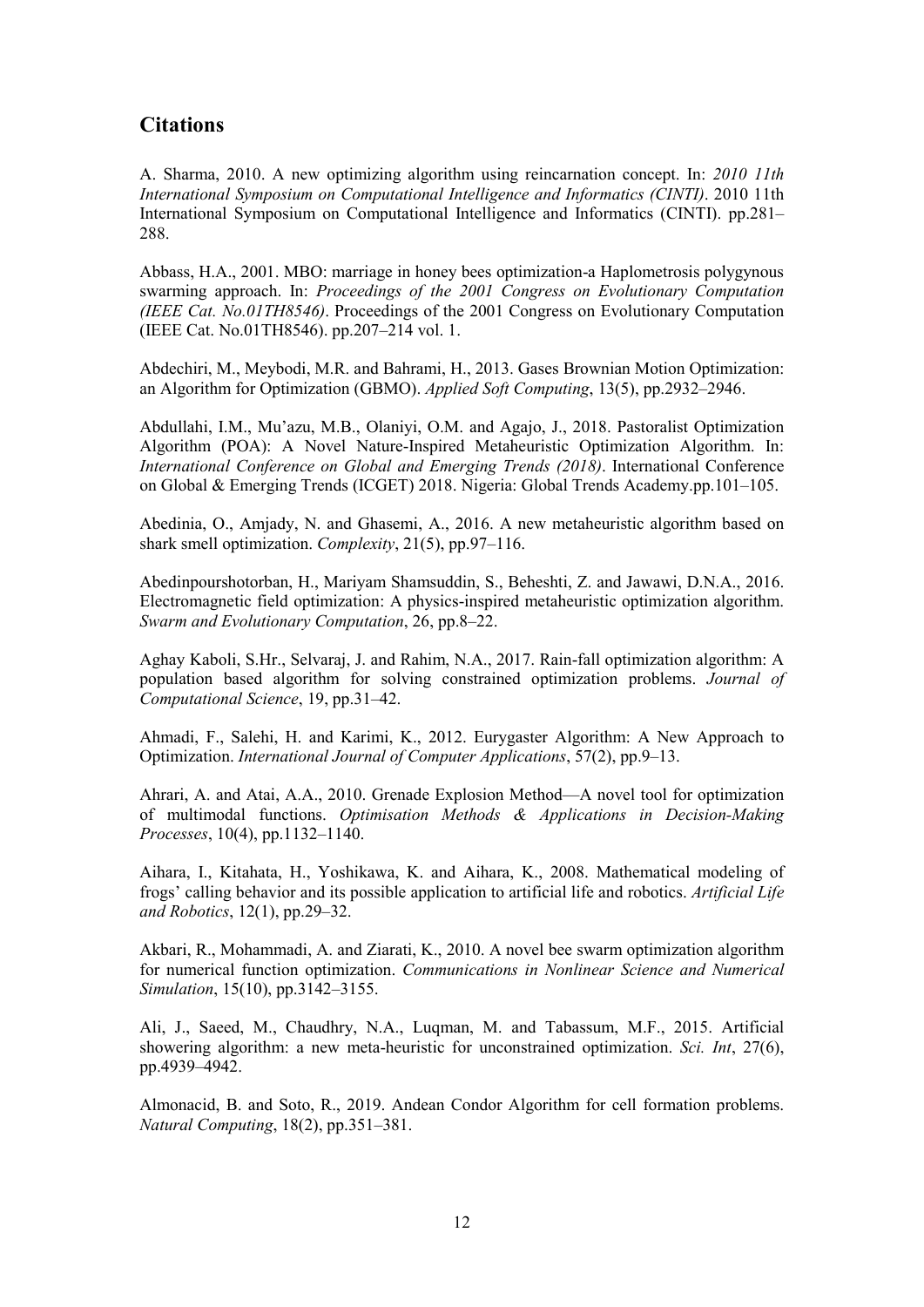#### **Citations**

A. Sharma, 2010. A new optimizing algorithm using reincarnation concept. In: *2010 11th International Symposium on Computational Intelligence and Informatics (CINTI)*. 2010 11th International Symposium on Computational Intelligence and Informatics (CINTI). pp.281– 288.

Abbass, H.A., 2001. MBO: marriage in honey bees optimization-a Haplometrosis polygynous swarming approach. In: *Proceedings of the 2001 Congress on Evolutionary Computation (IEEE Cat. No.01TH8546)*. Proceedings of the 2001 Congress on Evolutionary Computation (IEEE Cat. No.01TH8546). pp.207–214 vol. 1.

Abdechiri, M., Meybodi, M.R. and Bahrami, H., 2013. Gases Brownian Motion Optimization: an Algorithm for Optimization (GBMO). *Applied Soft Computing*, 13(5), pp.2932–2946.

Abdullahi, I.M., Mu'azu, M.B., Olaniyi, O.M. and Agajo, J., 2018. Pastoralist Optimization Algorithm (POA): A Novel Nature-Inspired Metaheuristic Optimization Algorithm. In: *International Conference on Global and Emerging Trends (2018)*. International Conference on Global & Emerging Trends (ICGET) 2018. Nigeria: Global Trends Academy.pp.101–105.

Abedinia, O., Amjady, N. and Ghasemi, A., 2016. A new metaheuristic algorithm based on shark smell optimization. *Complexity*, 21(5), pp.97–116.

Abedinpourshotorban, H., Mariyam Shamsuddin, S., Beheshti, Z. and Jawawi, D.N.A., 2016. Electromagnetic field optimization: A physics-inspired metaheuristic optimization algorithm. *Swarm and Evolutionary Computation*, 26, pp.8–22.

Aghay Kaboli, S.Hr., Selvaraj, J. and Rahim, N.A., 2017. Rain-fall optimization algorithm: A population based algorithm for solving constrained optimization problems. *Journal of Computational Science*, 19, pp.31–42.

Ahmadi, F., Salehi, H. and Karimi, K., 2012. Eurygaster Algorithm: A New Approach to Optimization. *International Journal of Computer Applications*, 57(2), pp.9–13.

Ahrari, A. and Atai, A.A., 2010. Grenade Explosion Method—A novel tool for optimization of multimodal functions. *Optimisation Methods & Applications in Decision-Making Processes*, 10(4), pp.1132–1140.

Aihara, I., Kitahata, H., Yoshikawa, K. and Aihara, K., 2008. Mathematical modeling of frogs' calling behavior and its possible application to artificial life and robotics. *Artificial Life and Robotics*, 12(1), pp.29–32.

Akbari, R., Mohammadi, A. and Ziarati, K., 2010. A novel bee swarm optimization algorithm for numerical function optimization. *Communications in Nonlinear Science and Numerical Simulation*, 15(10), pp.3142–3155.

Ali, J., Saeed, M., Chaudhry, N.A., Luqman, M. and Tabassum, M.F., 2015. Artificial showering algorithm: a new meta-heuristic for unconstrained optimization. *Sci. Int*, 27(6), pp.4939–4942.

Almonacid, B. and Soto, R., 2019. Andean Condor Algorithm for cell formation problems. *Natural Computing*, 18(2), pp.351–381.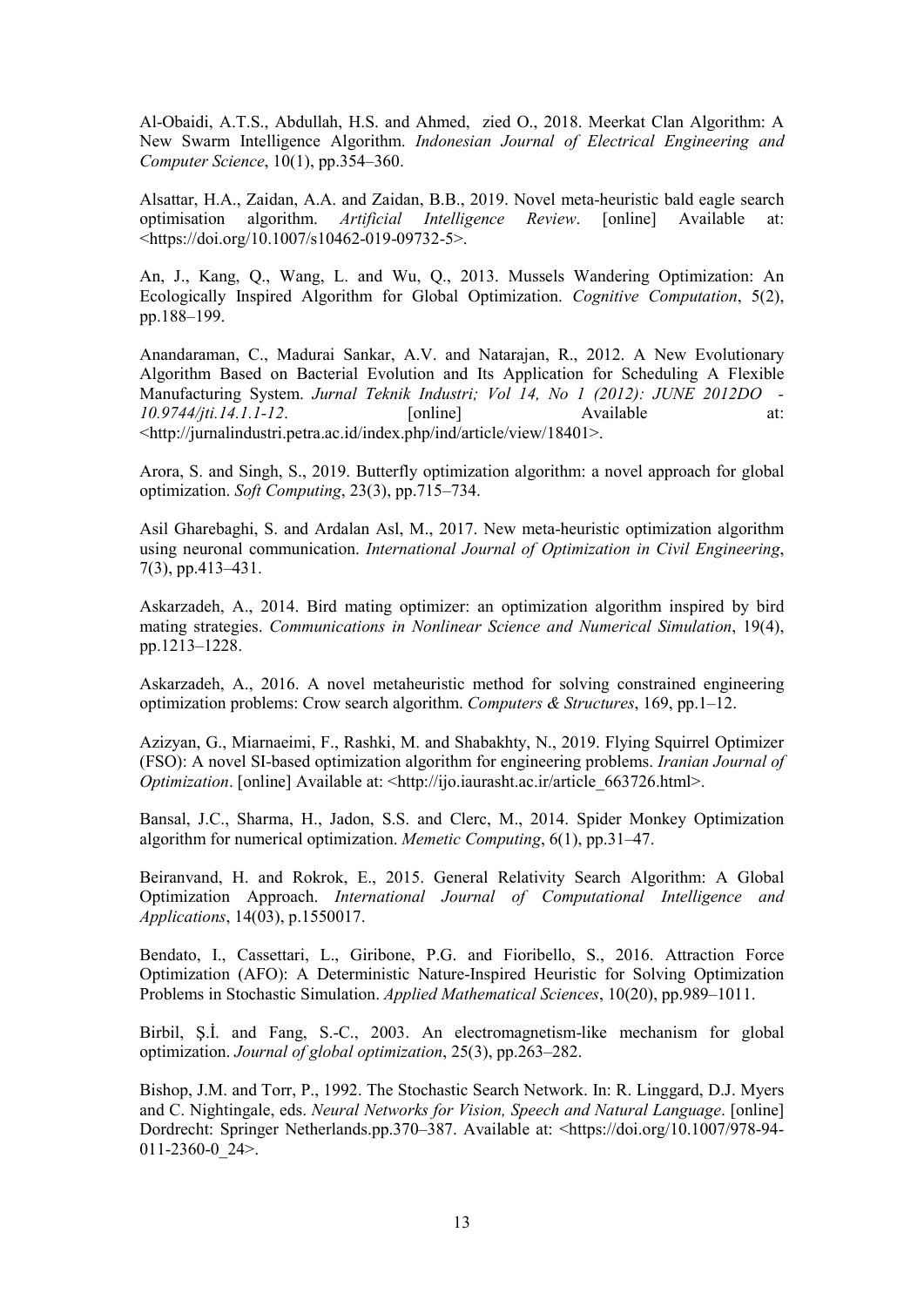Al-Obaidi, A.T.S., Abdullah, H.S. and Ahmed, zied O., 2018. Meerkat Clan Algorithm: A New Swarm Intelligence Algorithm. *Indonesian Journal of Electrical Engineering and Computer Science*, 10(1), pp.354–360.

Alsattar, H.A., Zaidan, A.A. and Zaidan, B.B., 2019. Novel meta-heuristic bald eagle search optimisation algorithm. *Artificial Intelligence Review*. [online] Available at: <https://doi.org/10.1007/s10462-019-09732-5>.

An, J., Kang, Q., Wang, L. and Wu, Q., 2013. Mussels Wandering Optimization: An Ecologically Inspired Algorithm for Global Optimization. *Cognitive Computation*, 5(2), pp.188–199.

Anandaraman, C., Madurai Sankar, A.V. and Natarajan, R., 2012. A New Evolutionary Algorithm Based on Bacterial Evolution and Its Application for Scheduling A Flexible Manufacturing System. *Jurnal Teknik Industri; Vol 14, No 1 (2012): JUNE 2012DO - 10.9744/jti.14.1.1-12*. [online] Available at: <http://jurnalindustri.petra.ac.id/index.php/ind/article/view/18401>.

Arora, S. and Singh, S., 2019. Butterfly optimization algorithm: a novel approach for global optimization. *Soft Computing*, 23(3), pp.715–734.

Asil Gharebaghi, S. and Ardalan Asl, M., 2017. New meta-heuristic optimization algorithm using neuronal communication. *International Journal of Optimization in Civil Engineering*, 7(3), pp.413–431.

Askarzadeh, A., 2014. Bird mating optimizer: an optimization algorithm inspired by bird mating strategies. *Communications in Nonlinear Science and Numerical Simulation*, 19(4), pp.1213–1228.

Askarzadeh, A., 2016. A novel metaheuristic method for solving constrained engineering optimization problems: Crow search algorithm. *Computers & Structures*, 169, pp.1–12.

Azizyan, G., Miarnaeimi, F., Rashki, M. and Shabakhty, N., 2019. Flying Squirrel Optimizer (FSO): A novel SI-based optimization algorithm for engineering problems. *Iranian Journal of Optimization*. [online] Available at: <http://ijo.iaurasht.ac.ir/article 663726.html>.

Bansal, J.C., Sharma, H., Jadon, S.S. and Clerc, M., 2014. Spider Monkey Optimization algorithm for numerical optimization. *Memetic Computing*, 6(1), pp.31–47.

Beiranvand, H. and Rokrok, E., 2015. General Relativity Search Algorithm: A Global Optimization Approach. *International Journal of Computational Intelligence and Applications*, 14(03), p.1550017.

Bendato, I., Cassettari, L., Giribone, P.G. and Fioribello, S., 2016. Attraction Force Optimization (AFO): A Deterministic Nature-Inspired Heuristic for Solving Optimization Problems in Stochastic Simulation. *Applied Mathematical Sciences*, 10(20), pp.989–1011.

Birbil, S.I. and Fang, S.-C., 2003. An electromagnetism-like mechanism for global optimization. *Journal of global optimization*, 25(3), pp.263–282.

Bishop, J.M. and Torr, P., 1992. The Stochastic Search Network. In: R. Linggard, D.J. Myers and C. Nightingale, eds. *Neural Networks for Vision, Speech and Natural Language*. [online] Dordrecht: Springer Netherlands.pp.370–387. Available at: <https://doi.org/10.1007/978-94- 011-2360-0 $24$ >.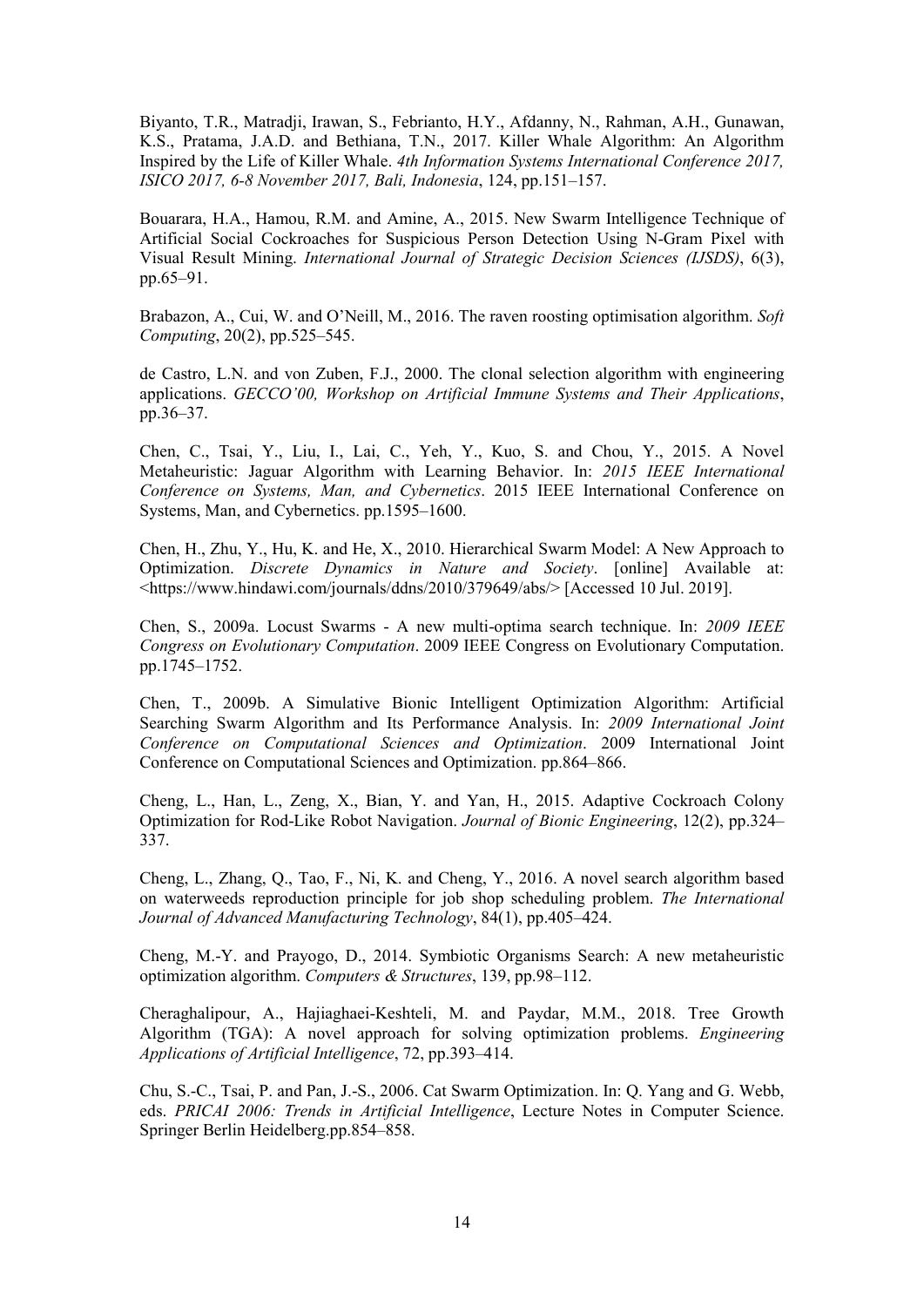Biyanto, T.R., Matradji, Irawan, S., Febrianto, H.Y., Afdanny, N., Rahman, A.H., Gunawan, K.S., Pratama, J.A.D. and Bethiana, T.N., 2017. Killer Whale Algorithm: An Algorithm Inspired by the Life of Killer Whale. *4th Information Systems International Conference 2017, ISICO 2017, 6-8 November 2017, Bali, Indonesia*, 124, pp.151–157.

Bouarara, H.A., Hamou, R.M. and Amine, A., 2015. New Swarm Intelligence Technique of Artificial Social Cockroaches for Suspicious Person Detection Using N-Gram Pixel with Visual Result Mining. *International Journal of Strategic Decision Sciences (IJSDS)*, 6(3), pp.65–91.

Brabazon, A., Cui, W. and O'Neill, M., 2016. The raven roosting optimisation algorithm. *Soft Computing*, 20(2), pp.525–545.

de Castro, L.N. and von Zuben, F.J., 2000. The clonal selection algorithm with engineering applications. *GECCO'00, Workshop on Artificial Immune Systems and Their Applications*, pp.36–37.

Chen, C., Tsai, Y., Liu, I., Lai, C., Yeh, Y., Kuo, S. and Chou, Y., 2015. A Novel Metaheuristic: Jaguar Algorithm with Learning Behavior. In: *2015 IEEE International Conference on Systems, Man, and Cybernetics*. 2015 IEEE International Conference on Systems, Man, and Cybernetics. pp.1595–1600.

Chen, H., Zhu, Y., Hu, K. and He, X., 2010. Hierarchical Swarm Model: A New Approach to Optimization. *Discrete Dynamics in Nature and Society*. [online] Available at: <https://www.hindawi.com/journals/ddns/2010/379649/abs/> [Accessed 10 Jul. 2019].

Chen, S., 2009a. Locust Swarms - A new multi-optima search technique. In: *2009 IEEE Congress on Evolutionary Computation*. 2009 IEEE Congress on Evolutionary Computation. pp.1745–1752.

Chen, T., 2009b. A Simulative Bionic Intelligent Optimization Algorithm: Artificial Searching Swarm Algorithm and Its Performance Analysis. In: *2009 International Joint Conference on Computational Sciences and Optimization*. 2009 International Joint Conference on Computational Sciences and Optimization. pp.864–866.

Cheng, L., Han, L., Zeng, X., Bian, Y. and Yan, H., 2015. Adaptive Cockroach Colony Optimization for Rod-Like Robot Navigation. *Journal of Bionic Engineering*, 12(2), pp.324– 337.

Cheng, L., Zhang, Q., Tao, F., Ni, K. and Cheng, Y., 2016. A novel search algorithm based on waterweeds reproduction principle for job shop scheduling problem. *The International Journal of Advanced Manufacturing Technology*, 84(1), pp.405–424.

Cheng, M.-Y. and Prayogo, D., 2014. Symbiotic Organisms Search: A new metaheuristic optimization algorithm. *Computers & Structures*, 139, pp.98–112.

Cheraghalipour, A., Hajiaghaei-Keshteli, M. and Paydar, M.M., 2018. Tree Growth Algorithm (TGA): A novel approach for solving optimization problems. *Engineering Applications of Artificial Intelligence*, 72, pp.393–414.

Chu, S.-C., Tsai, P. and Pan, J.-S., 2006. Cat Swarm Optimization. In: Q. Yang and G. Webb, eds. *PRICAI 2006: Trends in Artificial Intelligence*, Lecture Notes in Computer Science. Springer Berlin Heidelberg.pp.854–858.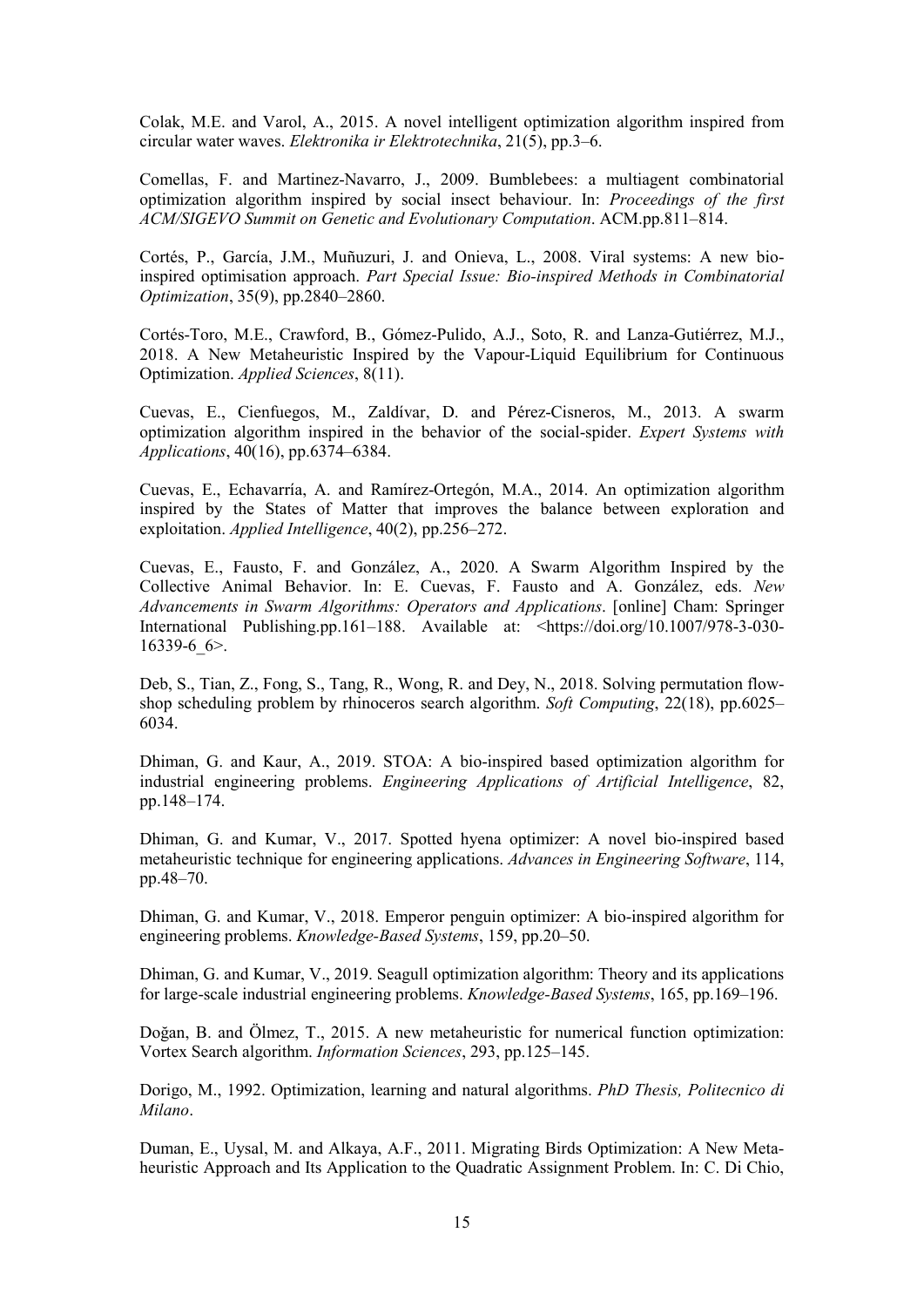Colak, M.E. and Varol, A., 2015. A novel intelligent optimization algorithm inspired from circular water waves. *Elektronika ir Elektrotechnika*, 21(5), pp.3–6.

Comellas, F. and Martinez-Navarro, J., 2009. Bumblebees: a multiagent combinatorial optimization algorithm inspired by social insect behaviour. In: *Proceedings of the first ACM/SIGEVO Summit on Genetic and Evolutionary Computation*. ACM.pp.811–814.

Cortés, P., García, J.M., Muñuzuri, J. and Onieva, L., 2008. Viral systems: A new bioinspired optimisation approach. *Part Special Issue: Bio-inspired Methods in Combinatorial Optimization*, 35(9), pp.2840–2860.

Cortés-Toro, M.E., Crawford, B., Gómez-Pulido, A.J., Soto, R. and Lanza-Gutiérrez, M.J., 2018. A New Metaheuristic Inspired by the Vapour-Liquid Equilibrium for Continuous Optimization. *Applied Sciences*, 8(11).

Cuevas, E., Cienfuegos, M., Zaldívar, D. and Pérez-Cisneros, M., 2013. A swarm optimization algorithm inspired in the behavior of the social-spider. *Expert Systems with Applications*, 40(16), pp.6374–6384.

Cuevas, E., Echavarría, A. and Ramírez-Ortegón, M.A., 2014. An optimization algorithm inspired by the States of Matter that improves the balance between exploration and exploitation. *Applied Intelligence*, 40(2), pp.256–272.

Cuevas, E., Fausto, F. and González, A., 2020. A Swarm Algorithm Inspired by the Collective Animal Behavior. In: E. Cuevas, F. Fausto and A. González, eds. *New Advancements in Swarm Algorithms: Operators and Applications*. [online] Cham: Springer International Publishing.pp.161–188. Available at: <https://doi.org/10.1007/978-3-030-16339-6 $6$ .

Deb, S., Tian, Z., Fong, S., Tang, R., Wong, R. and Dey, N., 2018. Solving permutation flowshop scheduling problem by rhinoceros search algorithm. *Soft Computing*, 22(18), pp.6025– 6034.

Dhiman, G. and Kaur, A., 2019. STOA: A bio-inspired based optimization algorithm for industrial engineering problems. *Engineering Applications of Artificial Intelligence*, 82, pp.148–174.

Dhiman, G. and Kumar, V., 2017. Spotted hyena optimizer: A novel bio-inspired based metaheuristic technique for engineering applications. *Advances in Engineering Software*, 114, pp.48–70.

Dhiman, G. and Kumar, V., 2018. Emperor penguin optimizer: A bio-inspired algorithm for engineering problems. *Knowledge-Based Systems*, 159, pp.20–50.

Dhiman, G. and Kumar, V., 2019. Seagull optimization algorithm: Theory and its applications for large-scale industrial engineering problems. *Knowledge-Based Systems*, 165, pp.169–196.

Doğan, B. and Ölmez, T., 2015. A new metaheuristic for numerical function optimization: Vortex Search algorithm. *Information Sciences*, 293, pp.125–145.

Dorigo, M., 1992. Optimization, learning and natural algorithms. *PhD Thesis, Politecnico di Milano*.

Duman, E., Uysal, M. and Alkaya, A.F., 2011. Migrating Birds Optimization: A New Metaheuristic Approach and Its Application to the Quadratic Assignment Problem. In: C. Di Chio,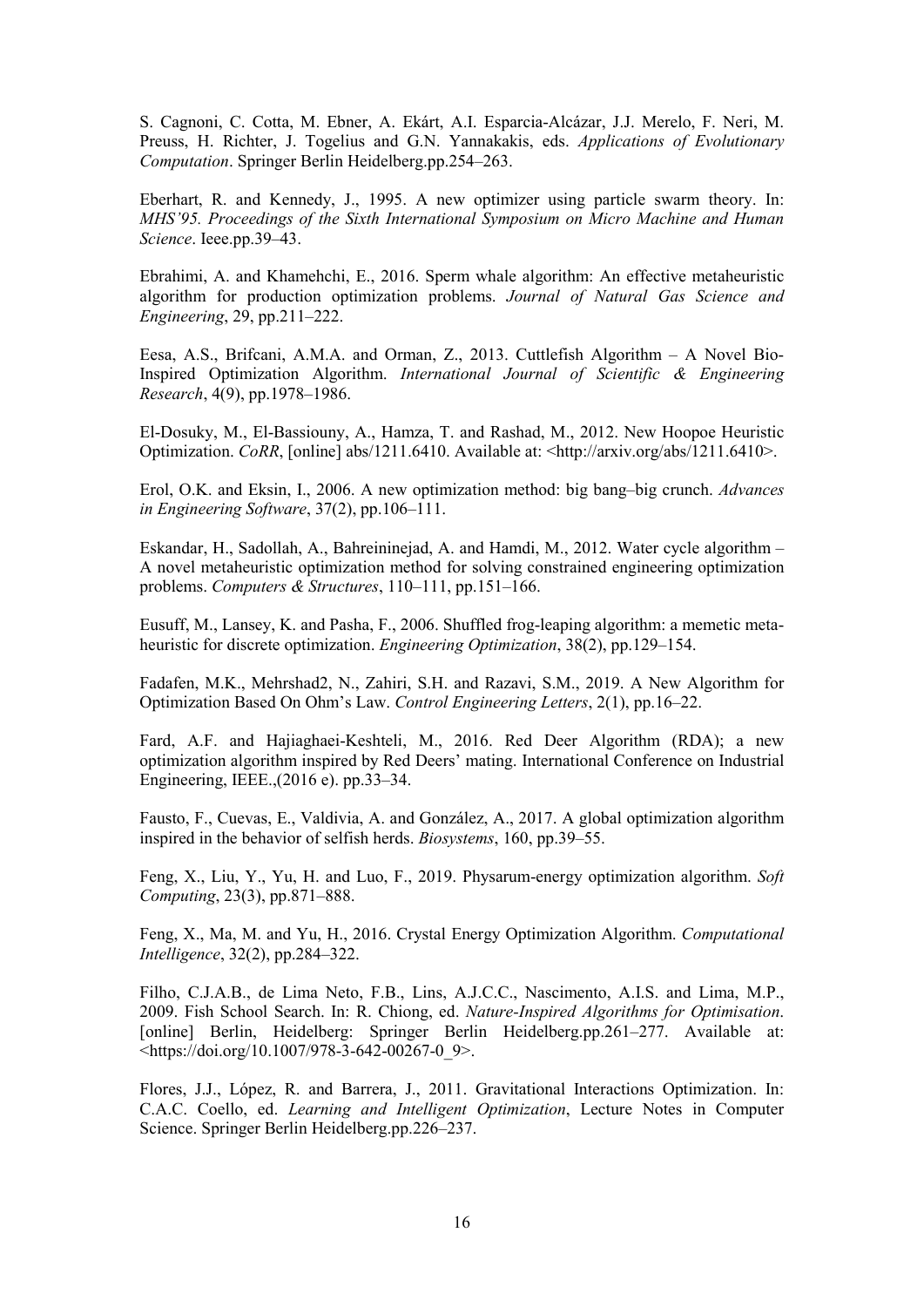S. Cagnoni, C. Cotta, M. Ebner, A. Ekárt, A.I. Esparcia-Alcázar, J.J. Merelo, F. Neri, M. Preuss, H. Richter, J. Togelius and G.N. Yannakakis, eds. *Applications of Evolutionary Computation*. Springer Berlin Heidelberg.pp.254–263.

Eberhart, R. and Kennedy, J., 1995. A new optimizer using particle swarm theory. In: *MHS'95. Proceedings of the Sixth International Symposium on Micro Machine and Human Science*. Ieee.pp.39–43.

Ebrahimi, A. and Khamehchi, E., 2016. Sperm whale algorithm: An effective metaheuristic algorithm for production optimization problems. *Journal of Natural Gas Science and Engineering*, 29, pp.211–222.

Eesa, A.S., Brifcani, A.M.A. and Orman, Z., 2013. Cuttlefish Algorithm – A Novel Bio-Inspired Optimization Algorithm. *International Journal of Scientific & Engineering Research*, 4(9), pp.1978–1986.

El-Dosuky, M., El-Bassiouny, A., Hamza, T. and Rashad, M., 2012. New Hoopoe Heuristic Optimization. *CoRR*, [online] abs/1211.6410. Available at: <http://arxiv.org/abs/1211.6410>.

Erol, O.K. and Eksin, I., 2006. A new optimization method: big bang–big crunch. *Advances in Engineering Software*, 37(2), pp.106–111.

Eskandar, H., Sadollah, A., Bahreininejad, A. and Hamdi, M., 2012. Water cycle algorithm – A novel metaheuristic optimization method for solving constrained engineering optimization problems. *Computers & Structures*, 110–111, pp.151–166.

Eusuff, M., Lansey, K. and Pasha, F., 2006. Shuffled frog-leaping algorithm: a memetic metaheuristic for discrete optimization. *Engineering Optimization*, 38(2), pp.129–154.

Fadafen, M.K., Mehrshad2, N., Zahiri, S.H. and Razavi, S.M., 2019. A New Algorithm for Optimization Based On Ohm's Law. *Control Engineering Letters*, 2(1), pp.16–22.

Fard, A.F. and Hajiaghaei-Keshteli, M., 2016. Red Deer Algorithm (RDA); a new optimization algorithm inspired by Red Deers' mating. International Conference on Industrial Engineering, IEEE.,(2016 e). pp.33–34.

Fausto, F., Cuevas, E., Valdivia, A. and González, A., 2017. A global optimization algorithm inspired in the behavior of selfish herds. *Biosystems*, 160, pp.39–55.

Feng, X., Liu, Y., Yu, H. and Luo, F., 2019. Physarum-energy optimization algorithm. *Soft Computing*, 23(3), pp.871–888.

Feng, X., Ma, M. and Yu, H., 2016. Crystal Energy Optimization Algorithm. *Computational Intelligence*, 32(2), pp.284–322.

Filho, C.J.A.B., de Lima Neto, F.B., Lins, A.J.C.C., Nascimento, A.I.S. and Lima, M.P., 2009. Fish School Search. In: R. Chiong, ed. *Nature-Inspired Algorithms for Optimisation*. [online] Berlin, Heidelberg: Springer Berlin Heidelberg.pp.261–277. Available at: <https://doi.org/10.1007/978-3-642-00267-0\_9>.

Flores, J.J., López, R. and Barrera, J., 2011. Gravitational Interactions Optimization. In: C.A.C. Coello, ed. *Learning and Intelligent Optimization*, Lecture Notes in Computer Science. Springer Berlin Heidelberg.pp.226–237.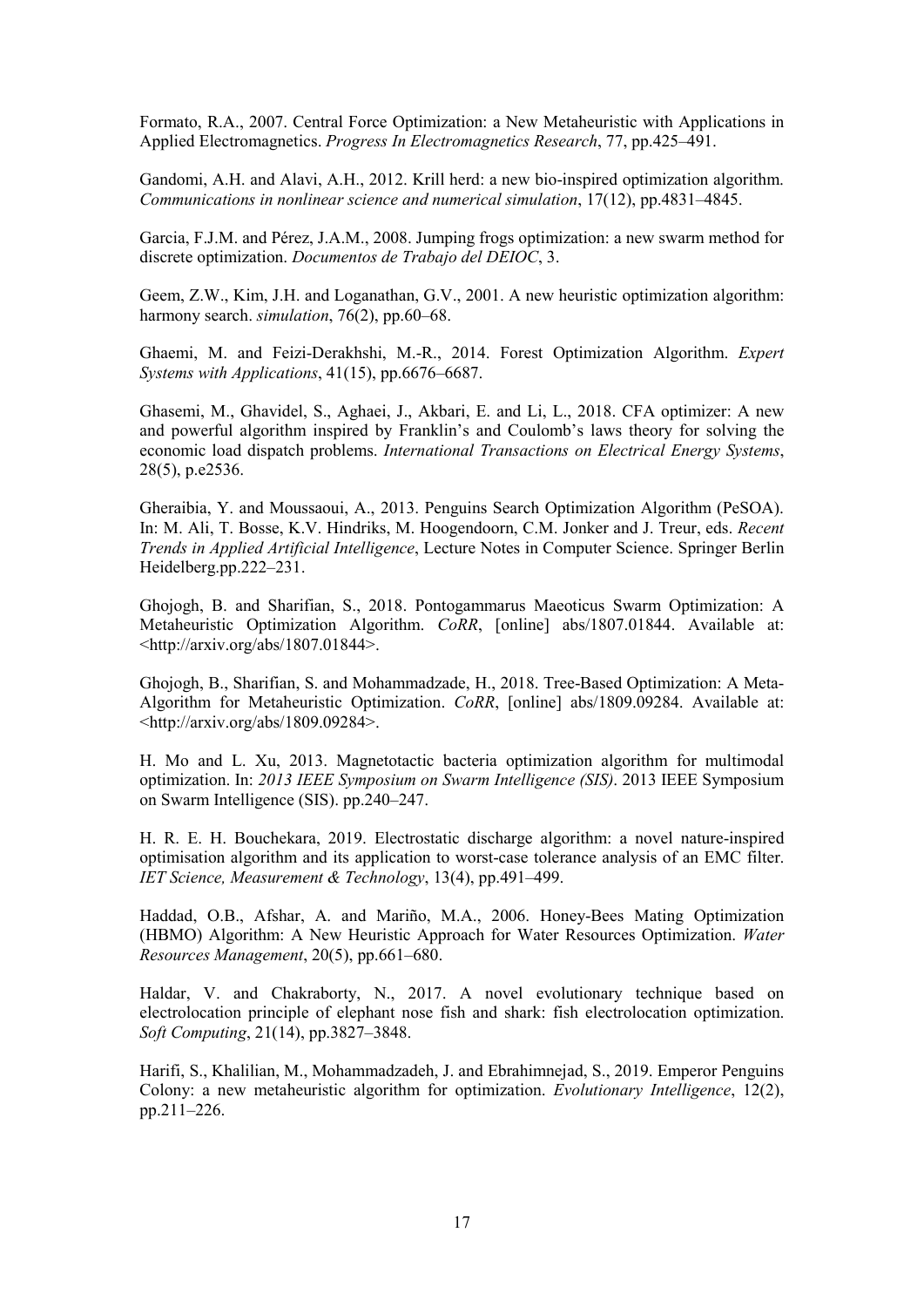Formato, R.A., 2007. Central Force Optimization: a New Metaheuristic with Applications in Applied Electromagnetics. *Progress In Electromagnetics Research*, 77, pp.425–491.

Gandomi, A.H. and Alavi, A.H., 2012. Krill herd: a new bio-inspired optimization algorithm. *Communications in nonlinear science and numerical simulation*, 17(12), pp.4831–4845.

Garcia, F.J.M. and Pérez, J.A.M., 2008. Jumping frogs optimization: a new swarm method for discrete optimization. *Documentos de Trabajo del DEIOC*, 3.

Geem, Z.W., Kim, J.H. and Loganathan, G.V., 2001. A new heuristic optimization algorithm: harmony search. *simulation*, 76(2), pp.60–68.

Ghaemi, M. and Feizi-Derakhshi, M.-R., 2014. Forest Optimization Algorithm. *Expert Systems with Applications*, 41(15), pp.6676–6687.

Ghasemi, M., Ghavidel, S., Aghaei, J., Akbari, E. and Li, L., 2018. CFA optimizer: A new and powerful algorithm inspired by Franklin's and Coulomb's laws theory for solving the economic load dispatch problems. *International Transactions on Electrical Energy Systems*, 28(5), p.e2536.

Gheraibia, Y. and Moussaoui, A., 2013. Penguins Search Optimization Algorithm (PeSOA). In: M. Ali, T. Bosse, K.V. Hindriks, M. Hoogendoorn, C.M. Jonker and J. Treur, eds. *Recent Trends in Applied Artificial Intelligence*, Lecture Notes in Computer Science. Springer Berlin Heidelberg.pp.222–231.

Ghojogh, B. and Sharifian, S., 2018. Pontogammarus Maeoticus Swarm Optimization: A Metaheuristic Optimization Algorithm. *CoRR*, [online] abs/1807.01844. Available at: <http://arxiv.org/abs/1807.01844>.

Ghojogh, B., Sharifian, S. and Mohammadzade, H., 2018. Tree-Based Optimization: A Meta-Algorithm for Metaheuristic Optimization. *CoRR*, [online] abs/1809.09284. Available at: <http://arxiv.org/abs/1809.09284>.

H. Mo and L. Xu, 2013. Magnetotactic bacteria optimization algorithm for multimodal optimization. In: *2013 IEEE Symposium on Swarm Intelligence (SIS)*. 2013 IEEE Symposium on Swarm Intelligence (SIS). pp.240–247.

H. R. E. H. Bouchekara, 2019. Electrostatic discharge algorithm: a novel nature-inspired optimisation algorithm and its application to worst-case tolerance analysis of an EMC filter. *IET Science, Measurement & Technology*, 13(4), pp.491–499.

Haddad, O.B., Afshar, A. and Mariño, M.A., 2006. Honey-Bees Mating Optimization (HBMO) Algorithm: A New Heuristic Approach for Water Resources Optimization. *Water Resources Management*, 20(5), pp.661–680.

Haldar, V. and Chakraborty, N., 2017. A novel evolutionary technique based on electrolocation principle of elephant nose fish and shark: fish electrolocation optimization. *Soft Computing*, 21(14), pp.3827–3848.

Harifi, S., Khalilian, M., Mohammadzadeh, J. and Ebrahimnejad, S., 2019. Emperor Penguins Colony: a new metaheuristic algorithm for optimization. *Evolutionary Intelligence*, 12(2), pp.211–226.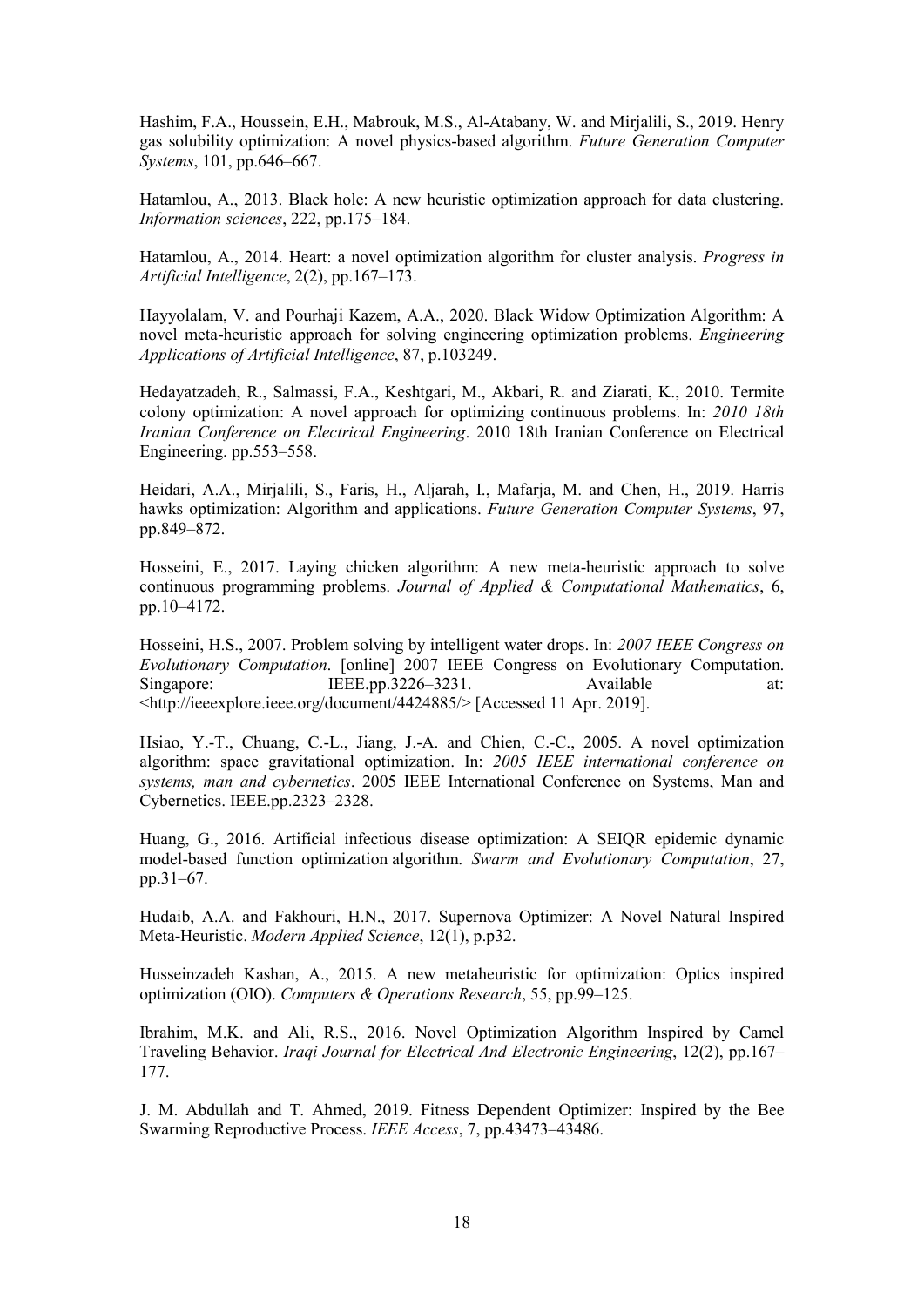Hashim, F.A., Houssein, E.H., Mabrouk, M.S., Al-Atabany, W. and Mirjalili, S., 2019. Henry gas solubility optimization: A novel physics-based algorithm. *Future Generation Computer Systems*, 101, pp.646–667.

Hatamlou, A., 2013. Black hole: A new heuristic optimization approach for data clustering. *Information sciences*, 222, pp.175–184.

Hatamlou, A., 2014. Heart: a novel optimization algorithm for cluster analysis. *Progress in Artificial Intelligence*, 2(2), pp.167–173.

Hayyolalam, V. and Pourhaji Kazem, A.A., 2020. Black Widow Optimization Algorithm: A novel meta-heuristic approach for solving engineering optimization problems. *Engineering Applications of Artificial Intelligence*, 87, p.103249.

Hedayatzadeh, R., Salmassi, F.A., Keshtgari, M., Akbari, R. and Ziarati, K., 2010. Termite colony optimization: A novel approach for optimizing continuous problems. In: *2010 18th Iranian Conference on Electrical Engineering*. 2010 18th Iranian Conference on Electrical Engineering. pp.553–558.

Heidari, A.A., Mirjalili, S., Faris, H., Aljarah, I., Mafarja, M. and Chen, H., 2019. Harris hawks optimization: Algorithm and applications. *Future Generation Computer Systems*, 97, pp.849–872.

Hosseini, E., 2017. Laying chicken algorithm: A new meta-heuristic approach to solve continuous programming problems. *Journal of Applied & Computational Mathematics*, 6, pp.10–4172.

Hosseini, H.S., 2007. Problem solving by intelligent water drops. In: *2007 IEEE Congress on Evolutionary Computation*. [online] 2007 IEEE Congress on Evolutionary Computation. Singapore: IEEE.pp.3226–3231. Available at: <http://ieeexplore.ieee.org/document/4424885/> [Accessed 11 Apr. 2019].

Hsiao, Y.-T., Chuang, C.-L., Jiang, J.-A. and Chien, C.-C., 2005. A novel optimization algorithm: space gravitational optimization. In: *2005 IEEE international conference on systems, man and cybernetics*. 2005 IEEE International Conference on Systems, Man and Cybernetics. IEEE.pp.2323–2328.

Huang, G., 2016. Artificial infectious disease optimization: A SEIQR epidemic dynamic model-based function optimization algorithm. *Swarm and Evolutionary Computation*, 27, pp.31–67.

Hudaib, A.A. and Fakhouri, H.N., 2017. Supernova Optimizer: A Novel Natural Inspired Meta-Heuristic. *Modern Applied Science*, 12(1), p.p32.

Husseinzadeh Kashan, A., 2015. A new metaheuristic for optimization: Optics inspired optimization (OIO). *Computers & Operations Research*, 55, pp.99–125.

Ibrahim, M.K. and Ali, R.S., 2016. Novel Optimization Algorithm Inspired by Camel Traveling Behavior. *Iraqi Journal for Electrical And Electronic Engineering*, 12(2), pp.167– 177.

J. M. Abdullah and T. Ahmed, 2019. Fitness Dependent Optimizer: Inspired by the Bee Swarming Reproductive Process. *IEEE Access*, 7, pp.43473–43486.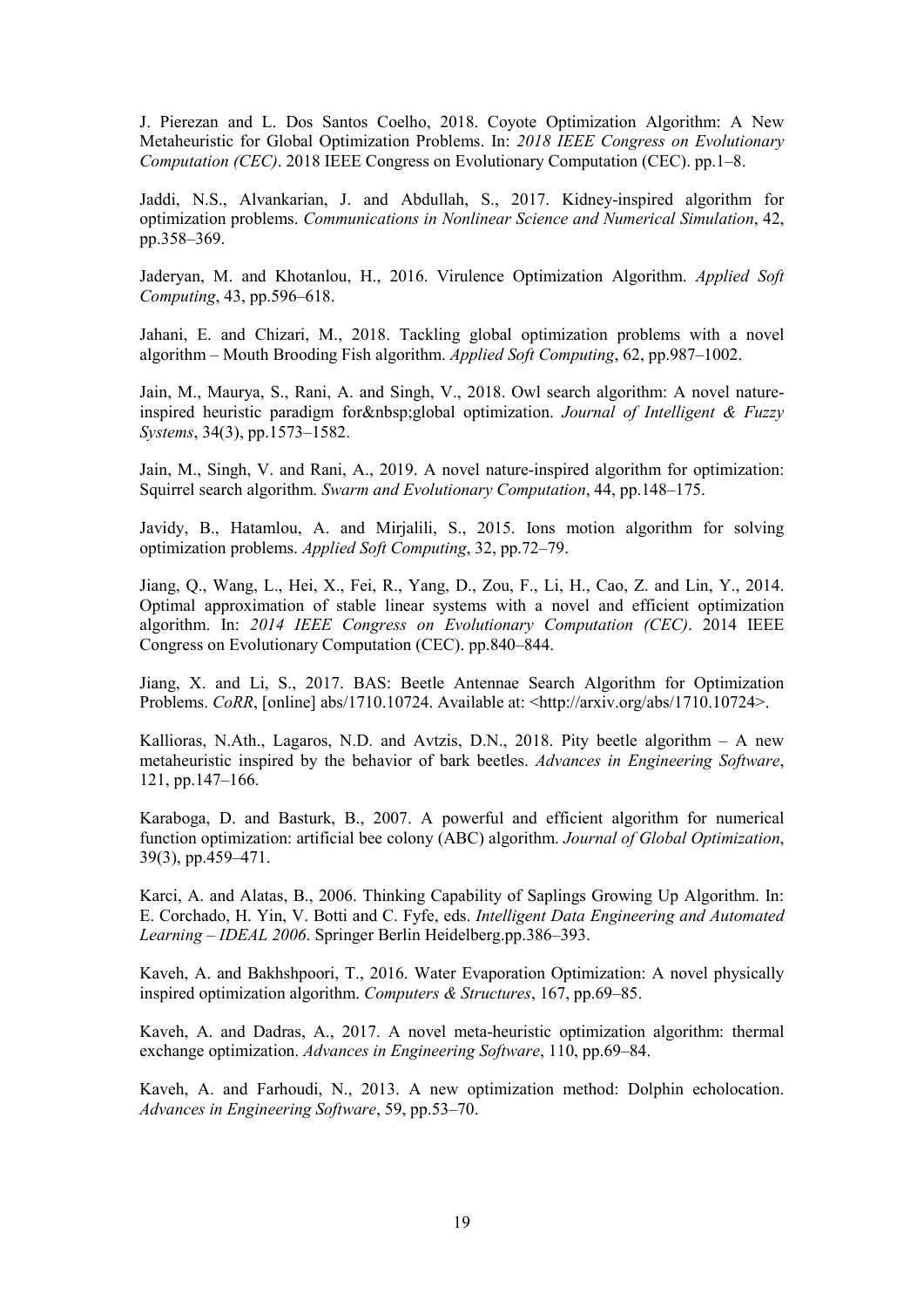J. Pierezan and L. Dos Santos Coelho, 2018. Coyote Optimization Algorithm: A New Metaheuristic for Global Optimization Problems. In: *2018 IEEE Congress on Evolutionary Computation (CEC)*. 2018 IEEE Congress on Evolutionary Computation (CEC). pp.1–8.

Jaddi, N.S., Alvankarian, J. and Abdullah, S., 2017. Kidney-inspired algorithm for optimization problems. *Communications in Nonlinear Science and Numerical Simulation*, 42, pp.358–369.

Jaderyan, M. and Khotanlou, H., 2016. Virulence Optimization Algorithm. *Applied Soft Computing*, 43, pp.596–618.

Jahani, E. and Chizari, M., 2018. Tackling global optimization problems with a novel algorithm – Mouth Brooding Fish algorithm. *Applied Soft Computing*, 62, pp.987–1002.

Jain, M., Maurya, S., Rani, A. and Singh, V., 2018. Owl search algorithm: A novel natureinspired heuristic paradigm for global optimization. *Journal of Intelligent & Fuzzy Systems*, 34(3), pp.1573–1582.

Jain, M., Singh, V. and Rani, A., 2019. A novel nature-inspired algorithm for optimization: Squirrel search algorithm. *Swarm and Evolutionary Computation*, 44, pp.148–175.

Javidy, B., Hatamlou, A. and Mirjalili, S., 2015. Ions motion algorithm for solving optimization problems. *Applied Soft Computing*, 32, pp.72–79.

Jiang, Q., Wang, L., Hei, X., Fei, R., Yang, D., Zou, F., Li, H., Cao, Z. and Lin, Y., 2014. Optimal approximation of stable linear systems with a novel and efficient optimization algorithm. In: *2014 IEEE Congress on Evolutionary Computation (CEC)*. 2014 IEEE Congress on Evolutionary Computation (CEC). pp.840–844.

Jiang, X. and Li, S., 2017. BAS: Beetle Antennae Search Algorithm for Optimization Problems. *CoRR*, [online] abs/1710.10724. Available at: <http://arxiv.org/abs/1710.10724>.

Kallioras, N.Ath., Lagaros, N.D. and Avtzis, D.N., 2018. Pity beetle algorithm  $-$  A new metaheuristic inspired by the behavior of bark beetles. *Advances in Engineering Software*, 121, pp.147–166.

Karaboga, D. and Basturk, B., 2007. A powerful and efficient algorithm for numerical function optimization: artificial bee colony (ABC) algorithm. *Journal of Global Optimization*, 39(3), pp.459–471.

Karci, A. and Alatas, B., 2006. Thinking Capability of Saplings Growing Up Algorithm. In: E. Corchado, H. Yin, V. Botti and C. Fyfe, eds. *Intelligent Data Engineering and Automated Learning – IDEAL 2006*. Springer Berlin Heidelberg.pp.386–393.

Kaveh, A. and Bakhshpoori, T., 2016. Water Evaporation Optimization: A novel physically inspired optimization algorithm. *Computers & Structures*, 167, pp.69–85.

Kaveh, A. and Dadras, A., 2017. A novel meta-heuristic optimization algorithm: thermal exchange optimization. *Advances in Engineering Software*, 110, pp.69–84.

Kaveh, A. and Farhoudi, N., 2013. A new optimization method: Dolphin echolocation. *Advances in Engineering Software*, 59, pp.53–70.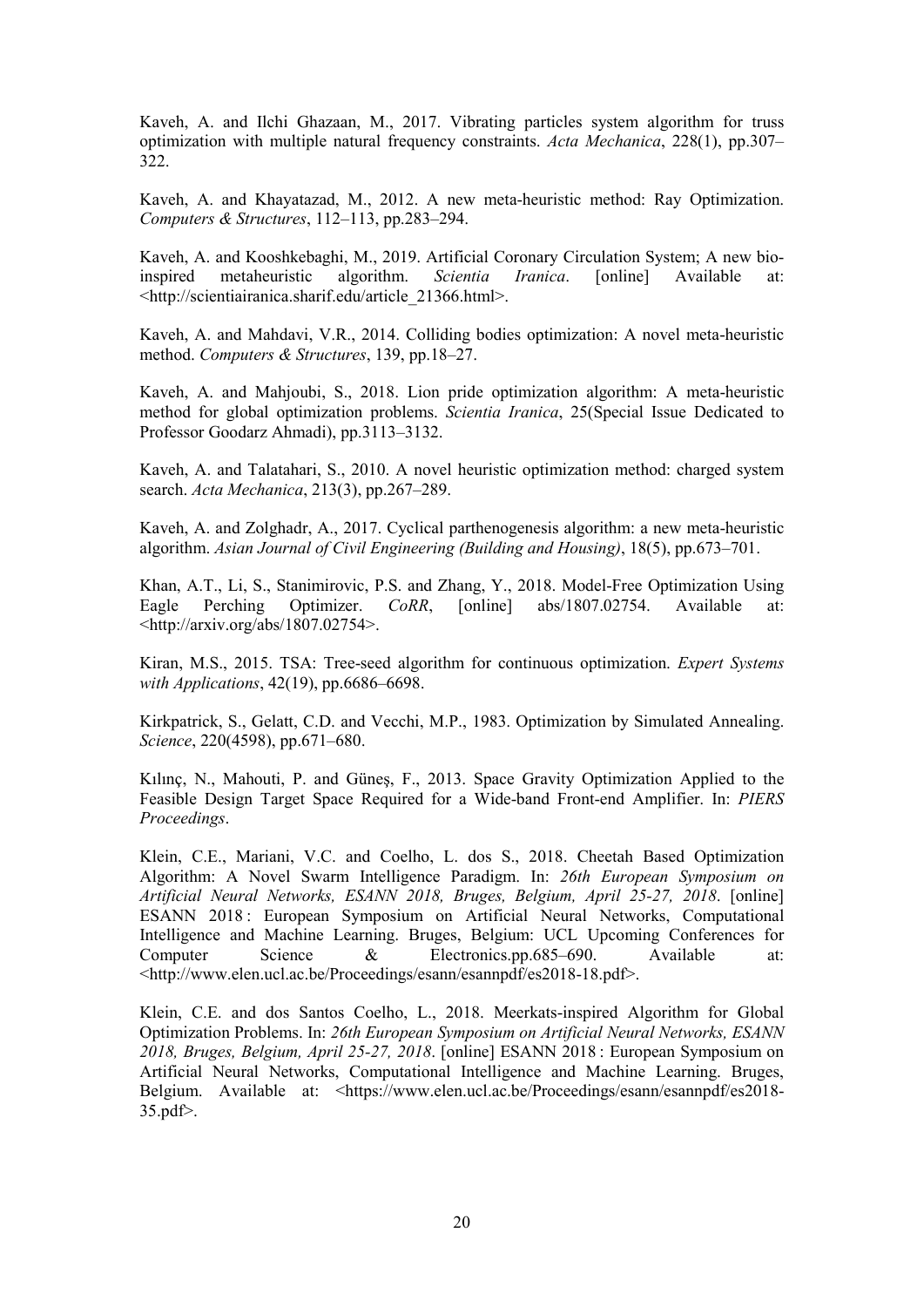Kaveh, A. and Ilchi Ghazaan, M., 2017. Vibrating particles system algorithm for truss optimization with multiple natural frequency constraints. *Acta Mechanica*, 228(1), pp.307– 322.

Kaveh, A. and Khayatazad, M., 2012. A new meta-heuristic method: Ray Optimization. *Computers & Structures*, 112–113, pp.283–294.

Kaveh, A. and Kooshkebaghi, M., 2019. Artificial Coronary Circulation System; A new bioinspired metaheuristic algorithm. *Scientia Iranica*. [online] Available at: <http://scientiairanica.sharif.edu/article\_21366.html>.

Kaveh, A. and Mahdavi, V.R., 2014. Colliding bodies optimization: A novel meta-heuristic method. *Computers & Structures*, 139, pp.18–27.

Kaveh, A. and Mahjoubi, S., 2018. Lion pride optimization algorithm: A meta-heuristic method for global optimization problems. *Scientia Iranica*, 25(Special Issue Dedicated to Professor Goodarz Ahmadi), pp.3113–3132.

Kaveh, A. and Talatahari, S., 2010. A novel heuristic optimization method: charged system search. *Acta Mechanica*, 213(3), pp.267–289.

Kaveh, A. and Zolghadr, A., 2017. Cyclical parthenogenesis algorithm: a new meta-heuristic algorithm. *Asian Journal of Civil Engineering (Building and Housing)*, 18(5), pp.673–701.

Khan, A.T., Li, S., Stanimirovic, P.S. and Zhang, Y., 2018. Model-Free Optimization Using Eagle Perching Optimizer. *CoRR*, [online] abs/1807.02754. Available at: <http://arxiv.org/abs/1807.02754>.

Kiran, M.S., 2015. TSA: Tree-seed algorithm for continuous optimization. *Expert Systems with Applications*, 42(19), pp.6686–6698.

Kirkpatrick, S., Gelatt, C.D. and Vecchi, M.P., 1983. Optimization by Simulated Annealing. *Science*, 220(4598), pp.671–680.

Kılınç, N., Mahouti, P. and Güneş, F., 2013. Space Gravity Optimization Applied to the Feasible Design Target Space Required for a Wide-band Front-end Amplifier. In: *PIERS Proceedings*.

Klein, C.E., Mariani, V.C. and Coelho, L. dos S., 2018. Cheetah Based Optimization Algorithm: A Novel Swarm Intelligence Paradigm. In: *26th European Symposium on Artificial Neural Networks, ESANN 2018, Bruges, Belgium, April 25-27, 2018*. [online] ESANN 2018 : European Symposium on Artificial Neural Networks, Computational Intelligence and Machine Learning. Bruges, Belgium: UCL Upcoming Conferences for Computer Science & Electronics.pp.685–690. Available at: <http://www.elen.ucl.ac.be/Proceedings/esann/esannpdf/es2018-18.pdf>.

Klein, C.E. and dos Santos Coelho, L., 2018. Meerkats-inspired Algorithm for Global Optimization Problems. In: *26th European Symposium on Artificial Neural Networks, ESANN 2018, Bruges, Belgium, April 25-27, 2018*. [online] ESANN 2018 : European Symposium on Artificial Neural Networks, Computational Intelligence and Machine Learning. Bruges, Belgium. Available at: <https://www.elen.ucl.ac.be/Proceedings/esann/esannpdf/es2018-35.pdf>.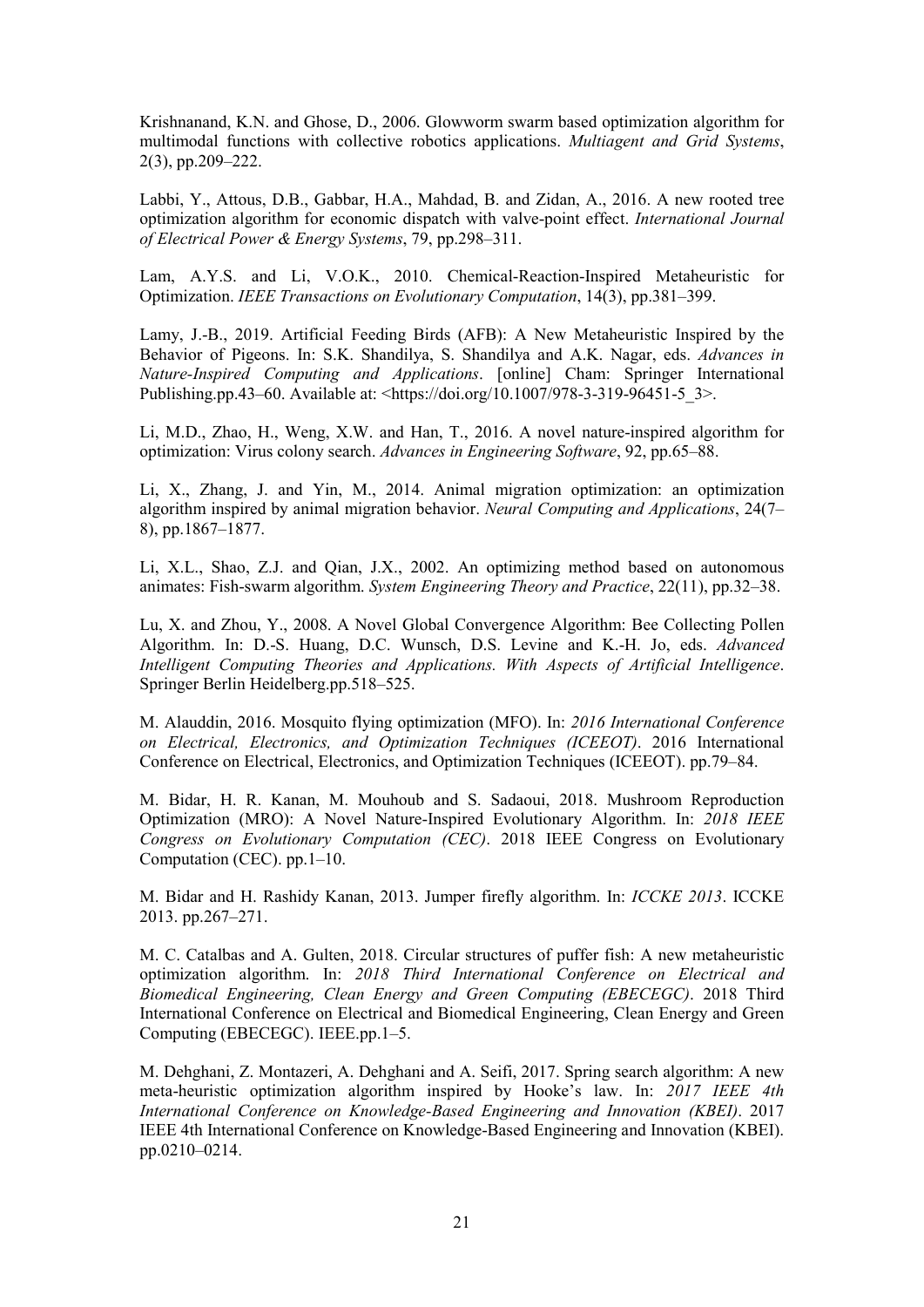Krishnanand, K.N. and Ghose, D., 2006. Glowworm swarm based optimization algorithm for multimodal functions with collective robotics applications. *Multiagent and Grid Systems*, 2(3), pp.209–222.

Labbi, Y., Attous, D.B., Gabbar, H.A., Mahdad, B. and Zidan, A., 2016. A new rooted tree optimization algorithm for economic dispatch with valve-point effect. *International Journal of Electrical Power & Energy Systems*, 79, pp.298–311.

Lam, A.Y.S. and Li, V.O.K., 2010. Chemical-Reaction-Inspired Metaheuristic for Optimization. *IEEE Transactions on Evolutionary Computation*, 14(3), pp.381–399.

Lamy, J.-B., 2019. Artificial Feeding Birds (AFB): A New Metaheuristic Inspired by the Behavior of Pigeons. In: S.K. Shandilya, S. Shandilya and A.K. Nagar, eds. *Advances in Nature-Inspired Computing and Applications*. [online] Cham: Springer International Publishing.pp.43–60. Available at: <https://doi.org/10.1007/978-3-319-96451-5\_3>.

Li, M.D., Zhao, H., Weng, X.W. and Han, T., 2016. A novel nature-inspired algorithm for optimization: Virus colony search. *Advances in Engineering Software*, 92, pp.65–88.

Li, X., Zhang, J. and Yin, M., 2014. Animal migration optimization: an optimization algorithm inspired by animal migration behavior. *Neural Computing and Applications*, 24(7– 8), pp.1867–1877.

Li, X.L., Shao, Z.J. and Qian, J.X., 2002. An optimizing method based on autonomous animates: Fish-swarm algorithm. *System Engineering Theory and Practice*, 22(11), pp.32–38.

Lu, X. and Zhou, Y., 2008. A Novel Global Convergence Algorithm: Bee Collecting Pollen Algorithm. In: D.-S. Huang, D.C. Wunsch, D.S. Levine and K.-H. Jo, eds. *Advanced Intelligent Computing Theories and Applications. With Aspects of Artificial Intelligence*. Springer Berlin Heidelberg.pp.518–525.

M. Alauddin, 2016. Mosquito flying optimization (MFO). In: *2016 International Conference on Electrical, Electronics, and Optimization Techniques (ICEEOT)*. 2016 International Conference on Electrical, Electronics, and Optimization Techniques (ICEEOT). pp.79–84.

M. Bidar, H. R. Kanan, M. Mouhoub and S. Sadaoui, 2018. Mushroom Reproduction Optimization (MRO): A Novel Nature-Inspired Evolutionary Algorithm. In: *2018 IEEE Congress on Evolutionary Computation (CEC)*. 2018 IEEE Congress on Evolutionary Computation (CEC). pp.1–10.

M. Bidar and H. Rashidy Kanan, 2013. Jumper firefly algorithm. In: *ICCKE 2013*. ICCKE 2013. pp.267–271.

M. C. Catalbas and A. Gulten, 2018. Circular structures of puffer fish: A new metaheuristic optimization algorithm. In: *2018 Third International Conference on Electrical and Biomedical Engineering, Clean Energy and Green Computing (EBECEGC)*. 2018 Third International Conference on Electrical and Biomedical Engineering, Clean Energy and Green Computing (EBECEGC). IEEE.pp.1–5.

M. Dehghani, Z. Montazeri, A. Dehghani and A. Seifi, 2017. Spring search algorithm: A new meta-heuristic optimization algorithm inspired by Hooke's law. In: *2017 IEEE 4th International Conference on Knowledge-Based Engineering and Innovation (KBEI)*. 2017 IEEE 4th International Conference on Knowledge-Based Engineering and Innovation (KBEI). pp.0210–0214.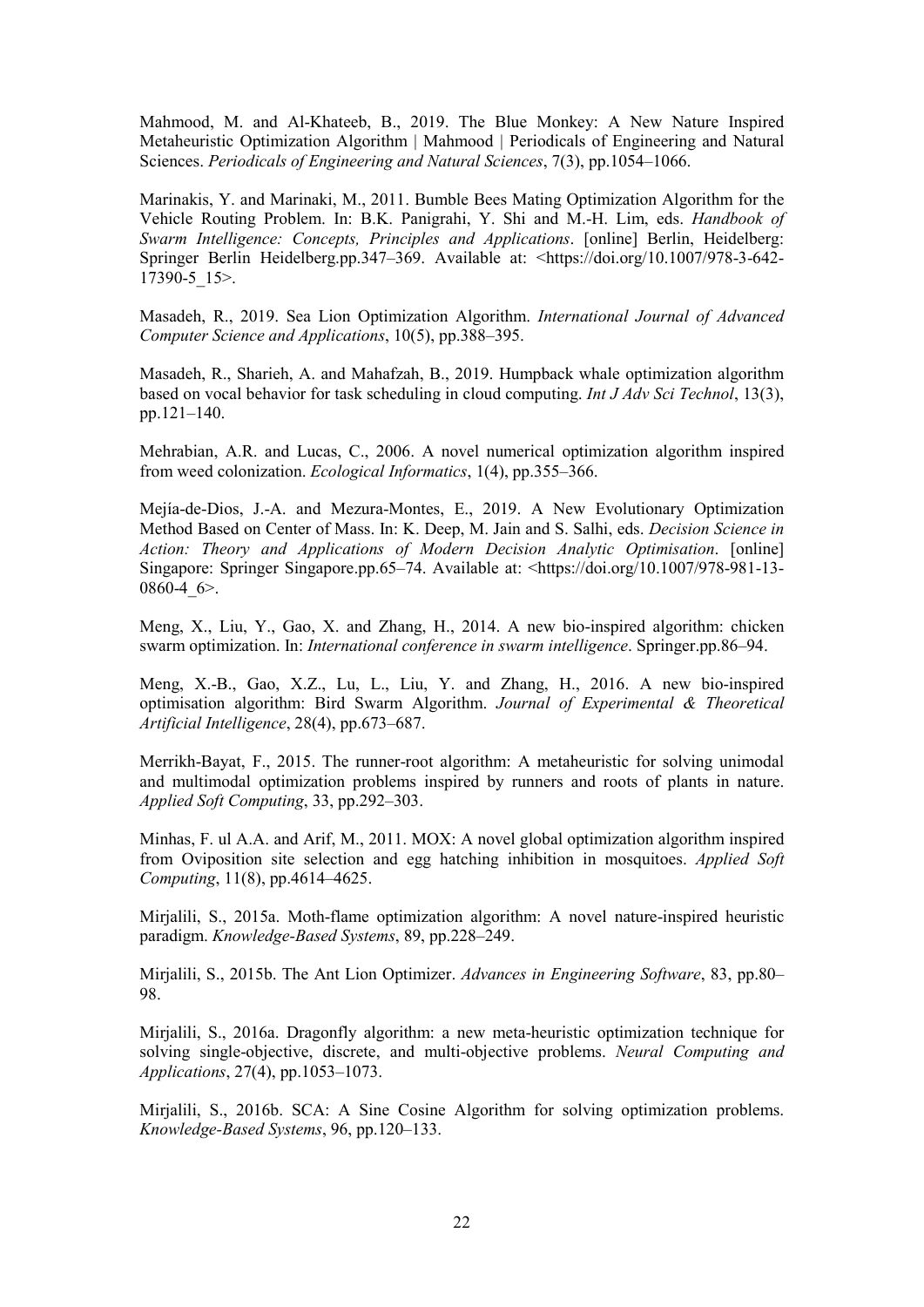Mahmood, M. and Al-Khateeb, B., 2019. The Blue Monkey: A New Nature Inspired Metaheuristic Optimization Algorithm | Mahmood | Periodicals of Engineering and Natural Sciences. *Periodicals of Engineering and Natural Sciences*, 7(3), pp.1054–1066.

Marinakis, Y. and Marinaki, M., 2011. Bumble Bees Mating Optimization Algorithm for the Vehicle Routing Problem. In: B.K. Panigrahi, Y. Shi and M.-H. Lim, eds. *Handbook of Swarm Intelligence: Concepts, Principles and Applications*. [online] Berlin, Heidelberg: Springer Berlin Heidelberg.pp.347–369. Available at: <https://doi.org/10.1007/978-3-642- 17390-5\_15>.

Masadeh, R., 2019. Sea Lion Optimization Algorithm. *International Journal of Advanced Computer Science and Applications*, 10(5), pp.388–395.

Masadeh, R., Sharieh, A. and Mahafzah, B., 2019. Humpback whale optimization algorithm based on vocal behavior for task scheduling in cloud computing. *Int J Adv Sci Technol*, 13(3), pp.121–140.

Mehrabian, A.R. and Lucas, C., 2006. A novel numerical optimization algorithm inspired from weed colonization. *Ecological Informatics*, 1(4), pp.355–366.

Mejía-de-Dios, J.-A. and Mezura-Montes, E., 2019. A New Evolutionary Optimization Method Based on Center of Mass. In: K. Deep, M. Jain and S. Salhi, eds. *Decision Science in Action: Theory and Applications of Modern Decision Analytic Optimisation*. [online] Singapore: Springer Singapore.pp.65–74. Available at: <https://doi.org/10.1007/978-981-13- 0860-4 $6$ 

Meng, X., Liu, Y., Gao, X. and Zhang, H., 2014. A new bio-inspired algorithm: chicken swarm optimization. In: *International conference in swarm intelligence*. Springer.pp.86–94.

Meng, X.-B., Gao, X.Z., Lu, L., Liu, Y. and Zhang, H., 2016. A new bio-inspired optimisation algorithm: Bird Swarm Algorithm. *Journal of Experimental & Theoretical Artificial Intelligence*, 28(4), pp.673–687.

Merrikh-Bayat, F., 2015. The runner-root algorithm: A metaheuristic for solving unimodal and multimodal optimization problems inspired by runners and roots of plants in nature. *Applied Soft Computing*, 33, pp.292–303.

Minhas, F. ul A.A. and Arif, M., 2011. MOX: A novel global optimization algorithm inspired from Oviposition site selection and egg hatching inhibition in mosquitoes. *Applied Soft Computing*, 11(8), pp.4614–4625.

Mirjalili, S., 2015a. Moth-flame optimization algorithm: A novel nature-inspired heuristic paradigm. *Knowledge-Based Systems*, 89, pp.228–249.

Mirjalili, S., 2015b. The Ant Lion Optimizer. *Advances in Engineering Software*, 83, pp.80– 98.

Mirjalili, S., 2016a. Dragonfly algorithm: a new meta-heuristic optimization technique for solving single-objective, discrete, and multi-objective problems. *Neural Computing and Applications*, 27(4), pp.1053–1073.

Mirjalili, S., 2016b. SCA: A Sine Cosine Algorithm for solving optimization problems. *Knowledge-Based Systems*, 96, pp.120–133.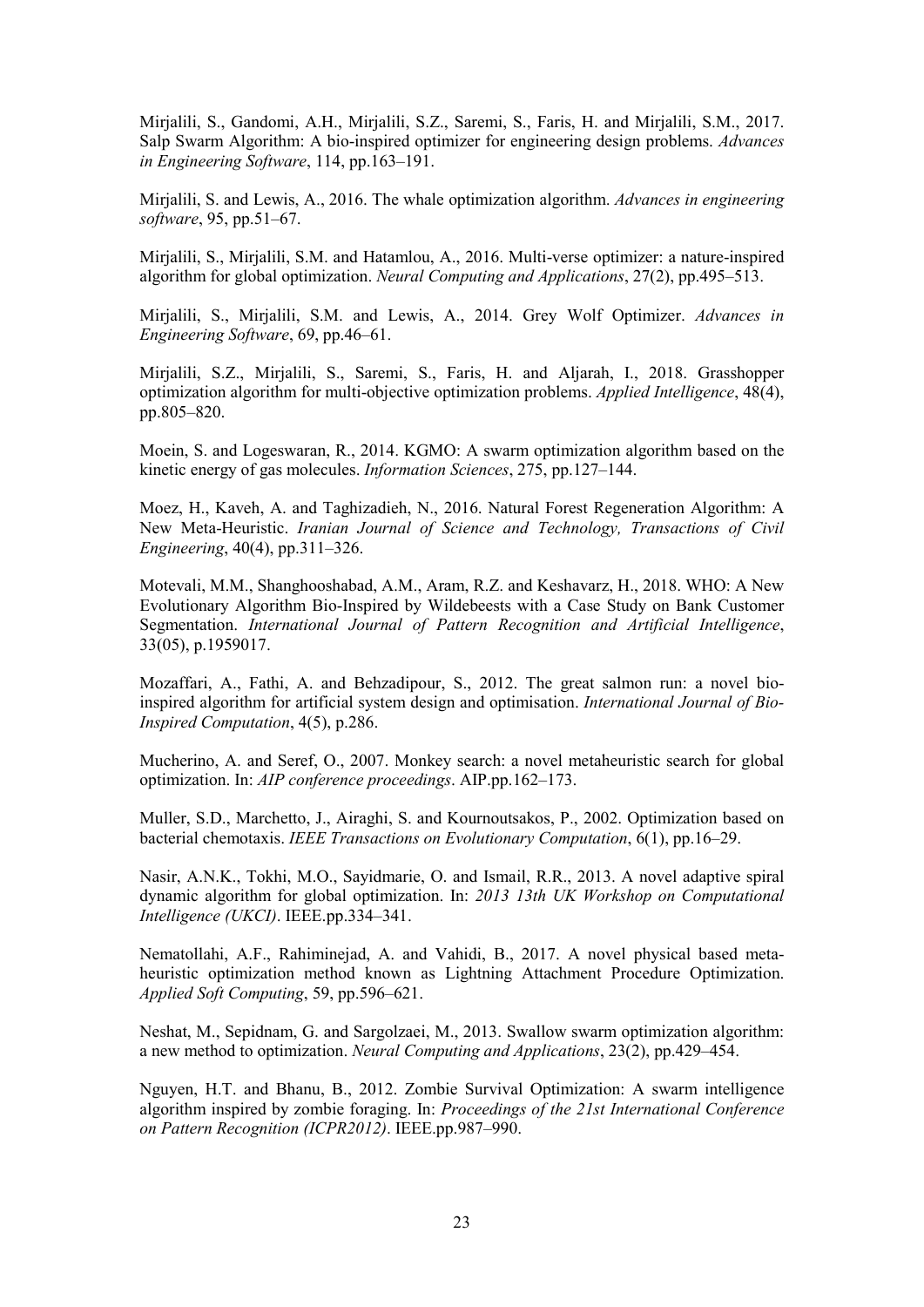Mirjalili, S., Gandomi, A.H., Mirjalili, S.Z., Saremi, S., Faris, H. and Mirjalili, S.M., 2017. Salp Swarm Algorithm: A bio-inspired optimizer for engineering design problems. *Advances in Engineering Software*, 114, pp.163–191.

Mirjalili, S. and Lewis, A., 2016. The whale optimization algorithm. *Advances in engineering software*, 95, pp.51–67.

Mirjalili, S., Mirjalili, S.M. and Hatamlou, A., 2016. Multi-verse optimizer: a nature-inspired algorithm for global optimization. *Neural Computing and Applications*, 27(2), pp.495–513.

Mirjalili, S., Mirjalili, S.M. and Lewis, A., 2014. Grey Wolf Optimizer. *Advances in Engineering Software*, 69, pp.46–61.

Mirjalili, S.Z., Mirjalili, S., Saremi, S., Faris, H. and Aljarah, I., 2018. Grasshopper optimization algorithm for multi-objective optimization problems. *Applied Intelligence*, 48(4), pp.805–820.

Moein, S. and Logeswaran, R., 2014. KGMO: A swarm optimization algorithm based on the kinetic energy of gas molecules. *Information Sciences*, 275, pp.127–144.

Moez, H., Kaveh, A. and Taghizadieh, N., 2016. Natural Forest Regeneration Algorithm: A New Meta-Heuristic. *Iranian Journal of Science and Technology, Transactions of Civil Engineering*, 40(4), pp.311–326.

Motevali, M.M., Shanghooshabad, A.M., Aram, R.Z. and Keshavarz, H., 2018. WHO: A New Evolutionary Algorithm Bio-Inspired by Wildebeests with a Case Study on Bank Customer Segmentation. *International Journal of Pattern Recognition and Artificial Intelligence*, 33(05), p.1959017.

Mozaffari, A., Fathi, A. and Behzadipour, S., 2012. The great salmon run: a novel bioinspired algorithm for artificial system design and optimisation. *International Journal of Bio-Inspired Computation*, 4(5), p.286.

Mucherino, A. and Seref, O., 2007. Monkey search: a novel metaheuristic search for global optimization. In: *AIP conference proceedings*. AIP.pp.162–173.

Muller, S.D., Marchetto, J., Airaghi, S. and Kournoutsakos, P., 2002. Optimization based on bacterial chemotaxis. *IEEE Transactions on Evolutionary Computation*, 6(1), pp.16–29.

Nasir, A.N.K., Tokhi, M.O., Sayidmarie, O. and Ismail, R.R., 2013. A novel adaptive spiral dynamic algorithm for global optimization. In: *2013 13th UK Workshop on Computational Intelligence (UKCI)*. IEEE.pp.334–341.

Nematollahi, A.F., Rahiminejad, A. and Vahidi, B., 2017. A novel physical based metaheuristic optimization method known as Lightning Attachment Procedure Optimization. *Applied Soft Computing*, 59, pp.596–621.

Neshat, M., Sepidnam, G. and Sargolzaei, M., 2013. Swallow swarm optimization algorithm: a new method to optimization. *Neural Computing and Applications*, 23(2), pp.429–454.

Nguyen, H.T. and Bhanu, B., 2012. Zombie Survival Optimization: A swarm intelligence algorithm inspired by zombie foraging. In: *Proceedings of the 21st International Conference on Pattern Recognition (ICPR2012)*. IEEE.pp.987–990.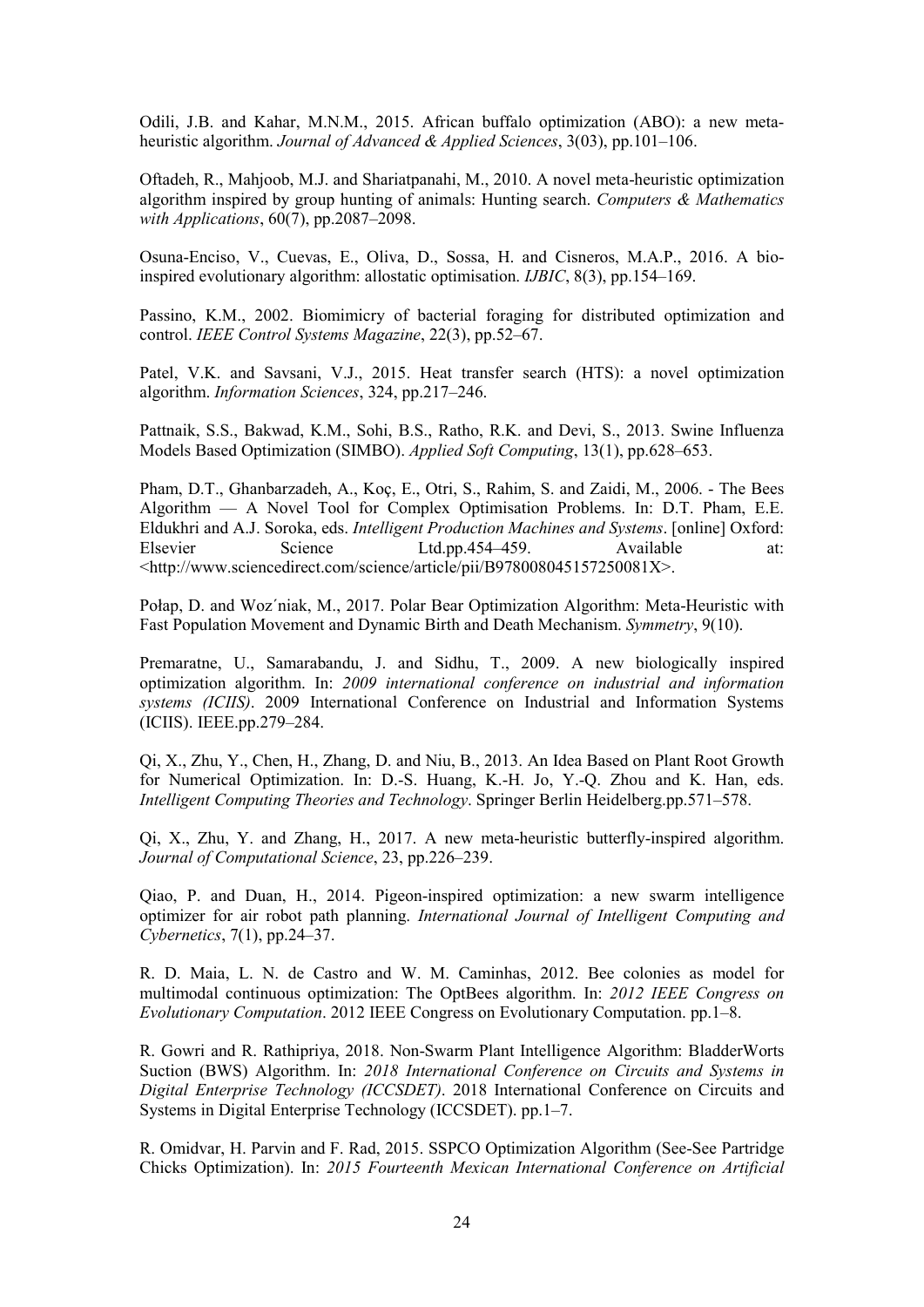Odili, J.B. and Kahar, M.N.M., 2015. African buffalo optimization (ABO): a new metaheuristic algorithm. *Journal of Advanced & Applied Sciences*, 3(03), pp.101–106.

Oftadeh, R., Mahjoob, M.J. and Shariatpanahi, M., 2010. A novel meta-heuristic optimization algorithm inspired by group hunting of animals: Hunting search. *Computers & Mathematics with Applications*, 60(7), pp.2087–2098.

Osuna-Enciso, V., Cuevas, E., Oliva, D., Sossa, H. and Cisneros, M.A.P., 2016. A bioinspired evolutionary algorithm: allostatic optimisation. *IJBIC*, 8(3), pp.154–169.

Passino, K.M., 2002. Biomimicry of bacterial foraging for distributed optimization and control. *IEEE Control Systems Magazine*, 22(3), pp.52–67.

Patel, V.K. and Savsani, V.J., 2015. Heat transfer search (HTS): a novel optimization algorithm. *Information Sciences*, 324, pp.217–246.

Pattnaik, S.S., Bakwad, K.M., Sohi, B.S., Ratho, R.K. and Devi, S., 2013. Swine Influenza Models Based Optimization (SIMBO). *Applied Soft Computing*, 13(1), pp.628–653.

Pham, D.T., Ghanbarzadeh, A., Koç, E., Otri, S., Rahim, S. and Zaidi, M., 2006. - The Bees Algorithm — A Novel Tool for Complex Optimisation Problems. In: D.T. Pham, E.E. Eldukhri and A.J. Soroka, eds. *Intelligent Production Machines and Systems*. [online] Oxford: Elsevier Science Ltd.pp.454–459. Available at: <http://www.sciencedirect.com/science/article/pii/B978008045157250081X>.

Połap, D. and Woz´niak, M., 2017. Polar Bear Optimization Algorithm: Meta-Heuristic with Fast Population Movement and Dynamic Birth and Death Mechanism. *Symmetry*, 9(10).

Premaratne, U., Samarabandu, J. and Sidhu, T., 2009. A new biologically inspired optimization algorithm. In: *2009 international conference on industrial and information systems (ICIIS)*. 2009 International Conference on Industrial and Information Systems (ICIIS). IEEE.pp.279–284.

Qi, X., Zhu, Y., Chen, H., Zhang, D. and Niu, B., 2013. An Idea Based on Plant Root Growth for Numerical Optimization. In: D.-S. Huang, K.-H. Jo, Y.-Q. Zhou and K. Han, eds. *Intelligent Computing Theories and Technology*. Springer Berlin Heidelberg.pp.571–578.

Qi, X., Zhu, Y. and Zhang, H., 2017. A new meta-heuristic butterfly-inspired algorithm. *Journal of Computational Science*, 23, pp.226–239.

Qiao, P. and Duan, H., 2014. Pigeon-inspired optimization: a new swarm intelligence optimizer for air robot path planning. *International Journal of Intelligent Computing and Cybernetics*, 7(1), pp.24–37.

R. D. Maia, L. N. de Castro and W. M. Caminhas, 2012. Bee colonies as model for multimodal continuous optimization: The OptBees algorithm. In: *2012 IEEE Congress on Evolutionary Computation*. 2012 IEEE Congress on Evolutionary Computation. pp.1–8.

R. Gowri and R. Rathipriya, 2018. Non-Swarm Plant Intelligence Algorithm: BladderWorts Suction (BWS) Algorithm. In: *2018 International Conference on Circuits and Systems in Digital Enterprise Technology (ICCSDET)*. 2018 International Conference on Circuits and Systems in Digital Enterprise Technology (ICCSDET). pp.1–7.

R. Omidvar, H. Parvin and F. Rad, 2015. SSPCO Optimization Algorithm (See-See Partridge Chicks Optimization). In: *2015 Fourteenth Mexican International Conference on Artificial*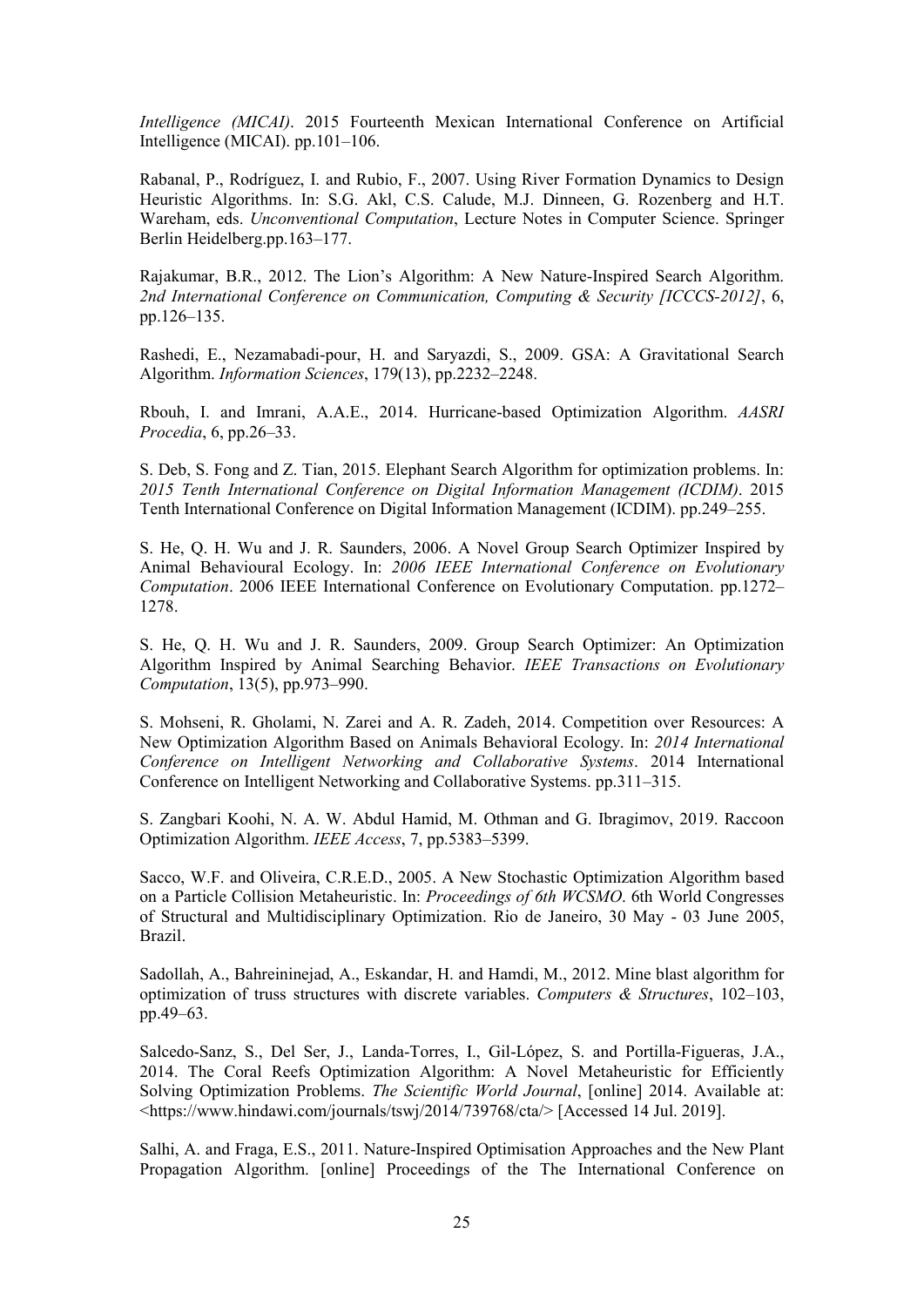*Intelligence (MICAI)*. 2015 Fourteenth Mexican International Conference on Artificial Intelligence (MICAI). pp.101–106.

Rabanal, P., Rodríguez, I. and Rubio, F., 2007. Using River Formation Dynamics to Design Heuristic Algorithms. In: S.G. Akl, C.S. Calude, M.J. Dinneen, G. Rozenberg and H.T. Wareham, eds. *Unconventional Computation*, Lecture Notes in Computer Science. Springer Berlin Heidelberg.pp.163–177.

Rajakumar, B.R., 2012. The Lion's Algorithm: A New Nature-Inspired Search Algorithm. *2nd International Conference on Communication, Computing & Security [ICCCS-2012]*, 6, pp.126–135.

Rashedi, E., Nezamabadi-pour, H. and Saryazdi, S., 2009. GSA: A Gravitational Search Algorithm. *Information Sciences*, 179(13), pp.2232–2248.

Rbouh, I. and Imrani, A.A.E., 2014. Hurricane-based Optimization Algorithm. *AASRI Procedia*, 6, pp.26–33.

S. Deb, S. Fong and Z. Tian, 2015. Elephant Search Algorithm for optimization problems. In: *2015 Tenth International Conference on Digital Information Management (ICDIM)*. 2015 Tenth International Conference on Digital Information Management (ICDIM). pp.249–255.

S. He, Q. H. Wu and J. R. Saunders, 2006. A Novel Group Search Optimizer Inspired by Animal Behavioural Ecology. In: *2006 IEEE International Conference on Evolutionary Computation*. 2006 IEEE International Conference on Evolutionary Computation. pp.1272– 1278.

S. He, Q. H. Wu and J. R. Saunders, 2009. Group Search Optimizer: An Optimization Algorithm Inspired by Animal Searching Behavior. *IEEE Transactions on Evolutionary Computation*, 13(5), pp.973–990.

S. Mohseni, R. Gholami, N. Zarei and A. R. Zadeh, 2014. Competition over Resources: A New Optimization Algorithm Based on Animals Behavioral Ecology. In: *2014 International Conference on Intelligent Networking and Collaborative Systems*. 2014 International Conference on Intelligent Networking and Collaborative Systems. pp.311–315.

S. Zangbari Koohi, N. A. W. Abdul Hamid, M. Othman and G. Ibragimov, 2019. Raccoon Optimization Algorithm. *IEEE Access*, 7, pp.5383–5399.

Sacco, W.F. and Oliveira, C.R.E.D., 2005. A New Stochastic Optimization Algorithm based on a Particle Collision Metaheuristic. In: *Proceedings of 6th WCSMO*. 6th World Congresses of Structural and Multidisciplinary Optimization. Rio de Janeiro, 30 May - 03 June 2005, Brazil.

Sadollah, A., Bahreininejad, A., Eskandar, H. and Hamdi, M., 2012. Mine blast algorithm for optimization of truss structures with discrete variables. *Computers & Structures*, 102–103, pp.49–63.

Salcedo-Sanz, S., Del Ser, J., Landa-Torres, I., Gil-López, S. and Portilla-Figueras, J.A., 2014. The Coral Reefs Optimization Algorithm: A Novel Metaheuristic for Efficiently Solving Optimization Problems. *The Scientific World Journal*, [online] 2014. Available at: <https://www.hindawi.com/journals/tswj/2014/739768/cta/> [Accessed 14 Jul. 2019].

Salhi, A. and Fraga, E.S., 2011. Nature-Inspired Optimisation Approaches and the New Plant Propagation Algorithm. [online] Proceedings of the The International Conference on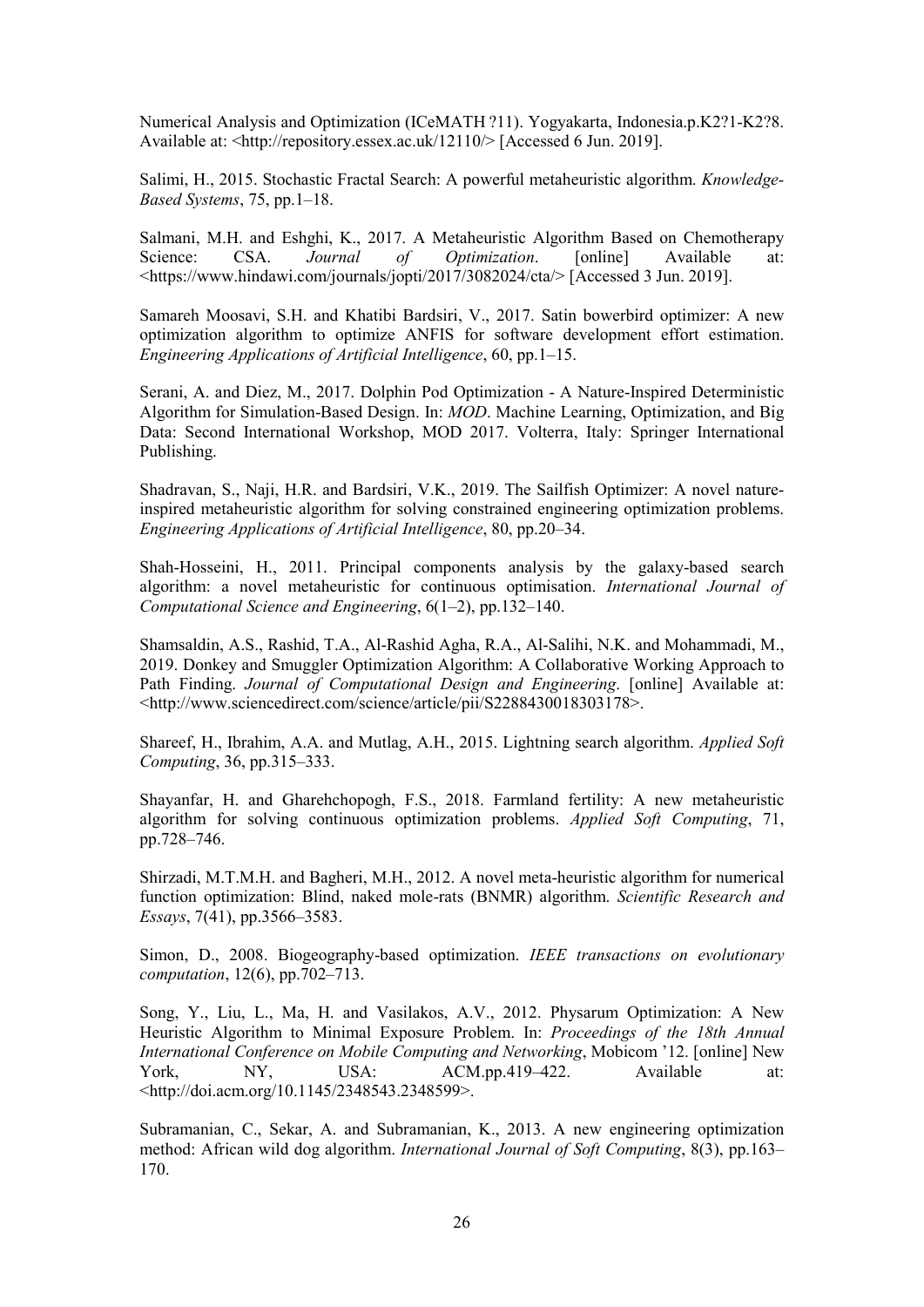Numerical Analysis and Optimization (ICeMATH ?11). Yogyakarta, Indonesia.p.K2?1-K2?8. Available at: <http://repository.essex.ac.uk/12110/> [Accessed 6 Jun. 2019].

Salimi, H., 2015. Stochastic Fractal Search: A powerful metaheuristic algorithm. *Knowledge-Based Systems*, 75, pp.1–18.

Salmani, M.H. and Eshghi, K., 2017. A Metaheuristic Algorithm Based on Chemotherapy Science: CSA. *Journal of Optimization*. [online] Available at: <https://www.hindawi.com/journals/jopti/2017/3082024/cta/> [Accessed 3 Jun. 2019].

Samareh Moosavi, S.H. and Khatibi Bardsiri, V., 2017. Satin bowerbird optimizer: A new optimization algorithm to optimize ANFIS for software development effort estimation. *Engineering Applications of Artificial Intelligence*, 60, pp.1–15.

Serani, A. and Diez, M., 2017. Dolphin Pod Optimization - A Nature-Inspired Deterministic Algorithm for Simulation-Based Design. In: *MOD*. Machine Learning, Optimization, and Big Data: Second International Workshop, MOD 2017. Volterra, Italy: Springer International Publishing.

Shadravan, S., Naji, H.R. and Bardsiri, V.K., 2019. The Sailfish Optimizer: A novel natureinspired metaheuristic algorithm for solving constrained engineering optimization problems. *Engineering Applications of Artificial Intelligence*, 80, pp.20–34.

Shah-Hosseini, H., 2011. Principal components analysis by the galaxy-based search algorithm: a novel metaheuristic for continuous optimisation. *International Journal of Computational Science and Engineering*, 6(1–2), pp.132–140.

Shamsaldin, A.S., Rashid, T.A., Al-Rashid Agha, R.A., Al-Salihi, N.K. and Mohammadi, M., 2019. Donkey and Smuggler Optimization Algorithm: A Collaborative Working Approach to Path Finding. *Journal of Computational Design and Engineering*. [online] Available at: <http://www.sciencedirect.com/science/article/pii/S2288430018303178>.

Shareef, H., Ibrahim, A.A. and Mutlag, A.H., 2015. Lightning search algorithm. *Applied Soft Computing*, 36, pp.315–333.

Shayanfar, H. and Gharehchopogh, F.S., 2018. Farmland fertility: A new metaheuristic algorithm for solving continuous optimization problems. *Applied Soft Computing*, 71, pp.728–746.

Shirzadi, M.T.M.H. and Bagheri, M.H., 2012. A novel meta-heuristic algorithm for numerical function optimization: Blind, naked mole-rats (BNMR) algorithm. *Scientific Research and Essays*, 7(41), pp.3566–3583.

Simon, D., 2008. Biogeography-based optimization. *IEEE transactions on evolutionary computation*, 12(6), pp.702–713.

Song, Y., Liu, L., Ma, H. and Vasilakos, A.V., 2012. Physarum Optimization: A New Heuristic Algorithm to Minimal Exposure Problem. In: *Proceedings of the 18th Annual International Conference on Mobile Computing and Networking*, Mobicom '12. [online] New York, NY, USA: ACM.pp.419–422. Available at: <http://doi.acm.org/10.1145/2348543.2348599>.

Subramanian, C., Sekar, A. and Subramanian, K., 2013. A new engineering optimization method: African wild dog algorithm. *International Journal of Soft Computing*, 8(3), pp.163– 170.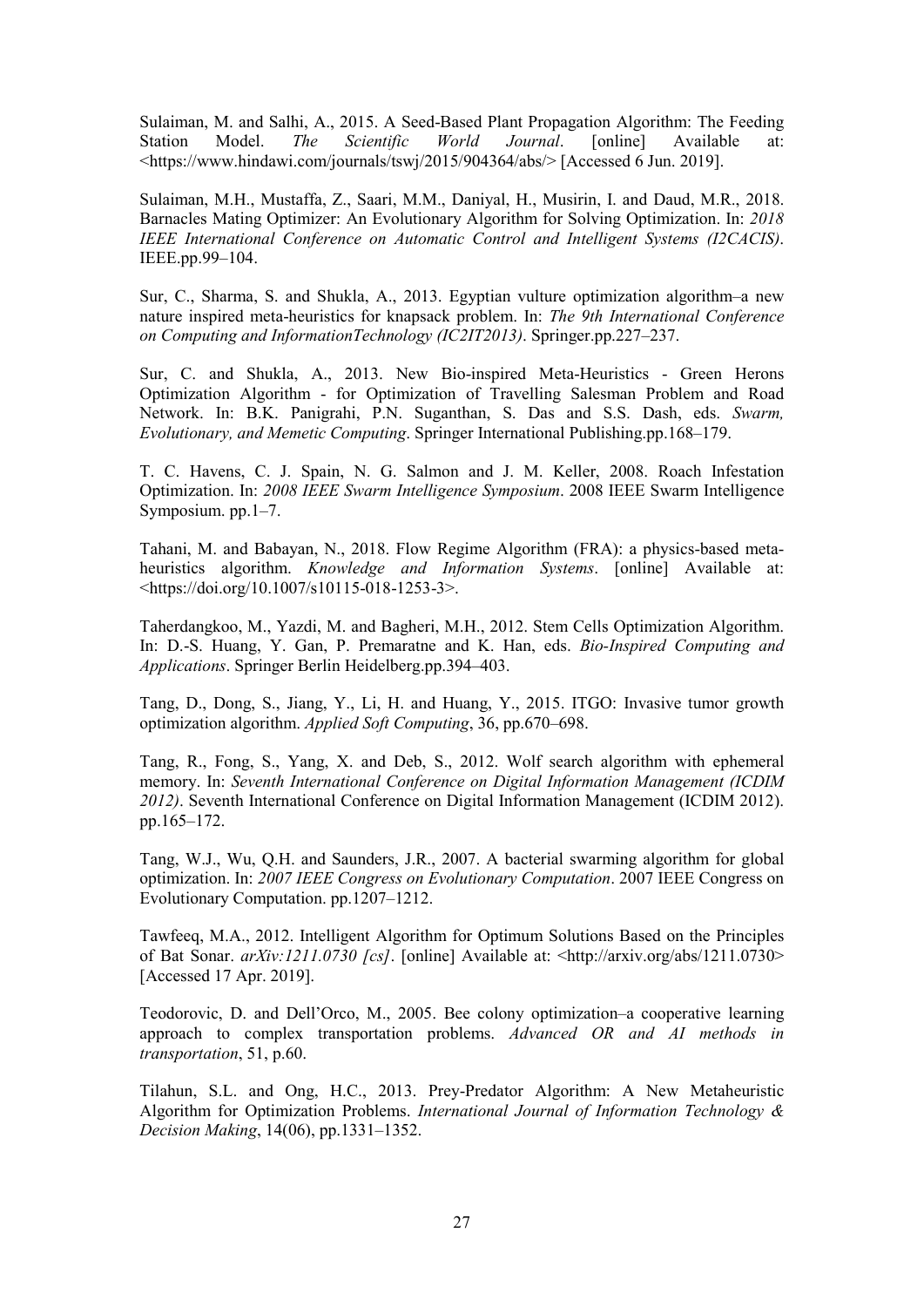Sulaiman, M. and Salhi, A., 2015. A Seed-Based Plant Propagation Algorithm: The Feeding Station Model. *The Scientific World Journal*. [online] Available at: <https://www.hindawi.com/journals/tswj/2015/904364/abs/> [Accessed 6 Jun. 2019].

Sulaiman, M.H., Mustaffa, Z., Saari, M.M., Daniyal, H., Musirin, I. and Daud, M.R., 2018. Barnacles Mating Optimizer: An Evolutionary Algorithm for Solving Optimization. In: *2018 IEEE International Conference on Automatic Control and Intelligent Systems (I2CACIS)*. IEEE.pp.99–104.

Sur, C., Sharma, S. and Shukla, A., 2013. Egyptian vulture optimization algorithm–a new nature inspired meta-heuristics for knapsack problem. In: *The 9th International Conference on Computing and InformationTechnology (IC2IT2013)*. Springer.pp.227–237.

Sur, C. and Shukla, A., 2013. New Bio-inspired Meta-Heuristics - Green Herons Optimization Algorithm - for Optimization of Travelling Salesman Problem and Road Network. In: B.K. Panigrahi, P.N. Suganthan, S. Das and S.S. Dash, eds. *Swarm, Evolutionary, and Memetic Computing*. Springer International Publishing.pp.168–179.

T. C. Havens, C. J. Spain, N. G. Salmon and J. M. Keller, 2008. Roach Infestation Optimization. In: *2008 IEEE Swarm Intelligence Symposium*. 2008 IEEE Swarm Intelligence Symposium. pp.1–7.

Tahani, M. and Babayan, N., 2018. Flow Regime Algorithm (FRA): a physics-based metaheuristics algorithm. *Knowledge and Information Systems*. [online] Available at: <https://doi.org/10.1007/s10115-018-1253-3>.

Taherdangkoo, M., Yazdi, M. and Bagheri, M.H., 2012. Stem Cells Optimization Algorithm. In: D.-S. Huang, Y. Gan, P. Premaratne and K. Han, eds. *Bio-Inspired Computing and Applications*. Springer Berlin Heidelberg.pp.394–403.

Tang, D., Dong, S., Jiang, Y., Li, H. and Huang, Y., 2015. ITGO: Invasive tumor growth optimization algorithm. *Applied Soft Computing*, 36, pp.670–698.

Tang, R., Fong, S., Yang, X. and Deb, S., 2012. Wolf search algorithm with ephemeral memory. In: *Seventh International Conference on Digital Information Management (ICDIM 2012)*. Seventh International Conference on Digital Information Management (ICDIM 2012). pp.165–172.

Tang, W.J., Wu, Q.H. and Saunders, J.R., 2007. A bacterial swarming algorithm for global optimization. In: *2007 IEEE Congress on Evolutionary Computation*. 2007 IEEE Congress on Evolutionary Computation. pp.1207–1212.

Tawfeeq, M.A., 2012. Intelligent Algorithm for Optimum Solutions Based on the Principles of Bat Sonar. *arXiv:1211.0730 [cs]*. [online] Available at: <http://arxiv.org/abs/1211.0730> [Accessed 17 Apr. 2019].

Teodorovic, D. and Dell'Orco, M., 2005. Bee colony optimization–a cooperative learning approach to complex transportation problems. *Advanced OR and AI methods in transportation*, 51, p.60.

Tilahun, S.L. and Ong, H.C., 2013. Prey-Predator Algorithm: A New Metaheuristic Algorithm for Optimization Problems. *International Journal of Information Technology & Decision Making*, 14(06), pp.1331–1352.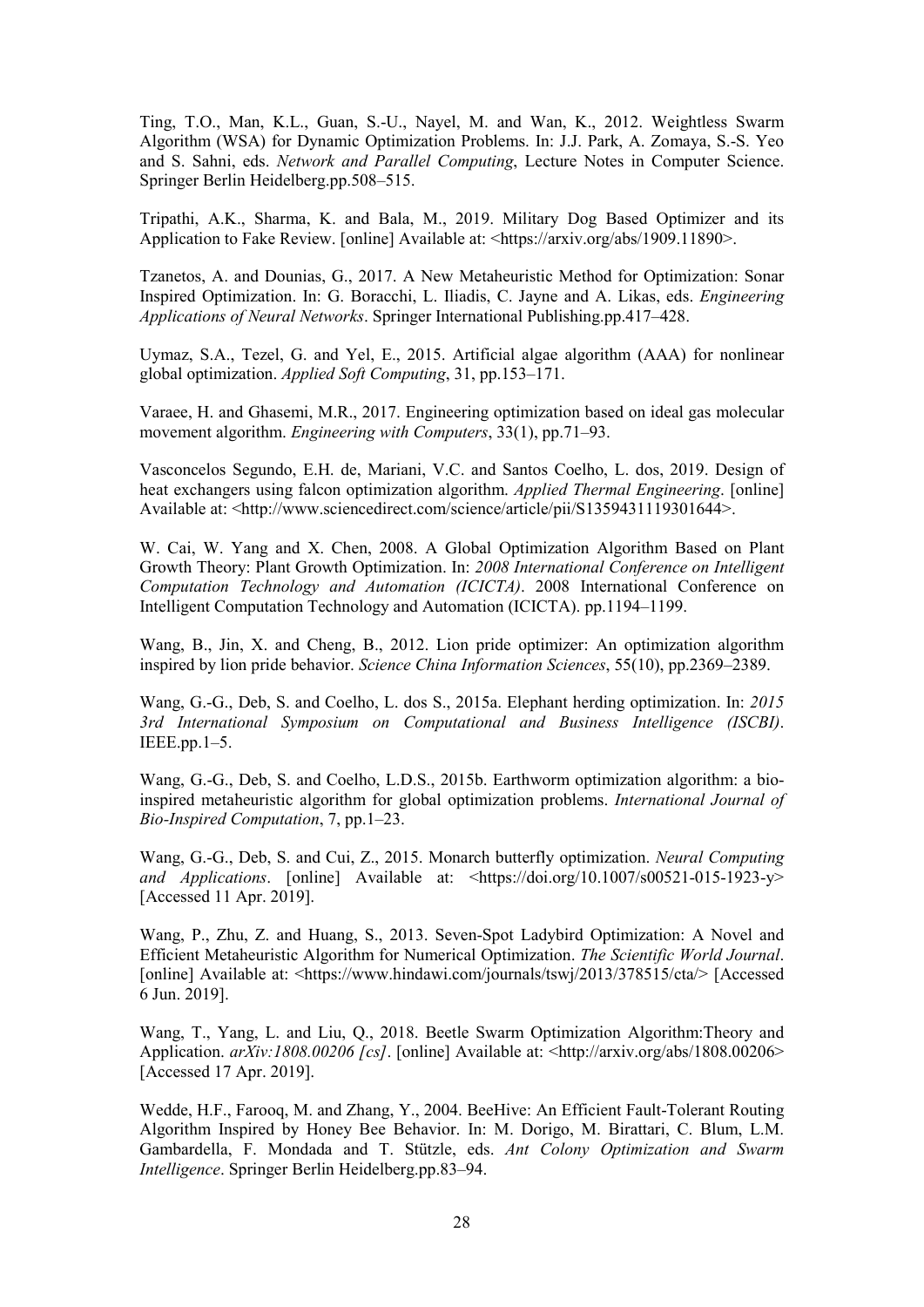Ting, T.O., Man, K.L., Guan, S.-U., Nayel, M. and Wan, K., 2012. Weightless Swarm Algorithm (WSA) for Dynamic Optimization Problems. In: J.J. Park, A. Zomaya, S.-S. Yeo and S. Sahni, eds. *Network and Parallel Computing*, Lecture Notes in Computer Science. Springer Berlin Heidelberg.pp.508–515.

Tripathi, A.K., Sharma, K. and Bala, M., 2019. Military Dog Based Optimizer and its Application to Fake Review. [online] Available at: <https://arxiv.org/abs/1909.11890>.

Tzanetos, A. and Dounias, G., 2017. A New Metaheuristic Method for Optimization: Sonar Inspired Optimization. In: G. Boracchi, L. Iliadis, C. Jayne and A. Likas, eds. *Engineering Applications of Neural Networks*. Springer International Publishing.pp.417–428.

Uymaz, S.A., Tezel, G. and Yel, E., 2015. Artificial algae algorithm (AAA) for nonlinear global optimization. *Applied Soft Computing*, 31, pp.153–171.

Varaee, H. and Ghasemi, M.R., 2017. Engineering optimization based on ideal gas molecular movement algorithm. *Engineering with Computers*, 33(1), pp.71–93.

Vasconcelos Segundo, E.H. de, Mariani, V.C. and Santos Coelho, L. dos, 2019. Design of heat exchangers using falcon optimization algorithm. *Applied Thermal Engineering*. [online] Available at: <http://www.sciencedirect.com/science/article/pii/S1359431119301644>.

W. Cai, W. Yang and X. Chen, 2008. A Global Optimization Algorithm Based on Plant Growth Theory: Plant Growth Optimization. In: *2008 International Conference on Intelligent Computation Technology and Automation (ICICTA)*. 2008 International Conference on Intelligent Computation Technology and Automation (ICICTA). pp.1194–1199.

Wang, B., Jin, X. and Cheng, B., 2012. Lion pride optimizer: An optimization algorithm inspired by lion pride behavior. *Science China Information Sciences*, 55(10), pp.2369–2389.

Wang, G.-G., Deb, S. and Coelho, L. dos S., 2015a. Elephant herding optimization. In: *2015 3rd International Symposium on Computational and Business Intelligence (ISCBI)*.  $IEEE.py.1-5.$ 

Wang, G.-G., Deb, S. and Coelho, L.D.S., 2015b. Earthworm optimization algorithm: a bioinspired metaheuristic algorithm for global optimization problems. *International Journal of Bio-Inspired Computation*, 7, pp.1–23.

Wang, G.-G., Deb, S. and Cui, Z., 2015. Monarch butterfly optimization. *Neural Computing and Applications*. [online] Available at: <https://doi.org/10.1007/s00521-015-1923-y> [Accessed 11 Apr. 2019].

Wang, P., Zhu, Z. and Huang, S., 2013. Seven-Spot Ladybird Optimization: A Novel and Efficient Metaheuristic Algorithm for Numerical Optimization. *The Scientific World Journal*. [online] Available at: <https://www.hindawi.com/journals/tswj/2013/378515/cta/> [Accessed 6 Jun. 2019].

Wang, T., Yang, L. and Liu, Q., 2018. Beetle Swarm Optimization Algorithm:Theory and Application. *arXiv:1808.00206 [cs]*. [online] Available at: <http://arxiv.org/abs/1808.00206> [Accessed 17 Apr. 2019].

Wedde, H.F., Farooq, M. and Zhang, Y., 2004. BeeHive: An Efficient Fault-Tolerant Routing Algorithm Inspired by Honey Bee Behavior. In: M. Dorigo, M. Birattari, C. Blum, L.M. Gambardella, F. Mondada and T. Stützle, eds. *Ant Colony Optimization and Swarm Intelligence*. Springer Berlin Heidelberg.pp.83–94.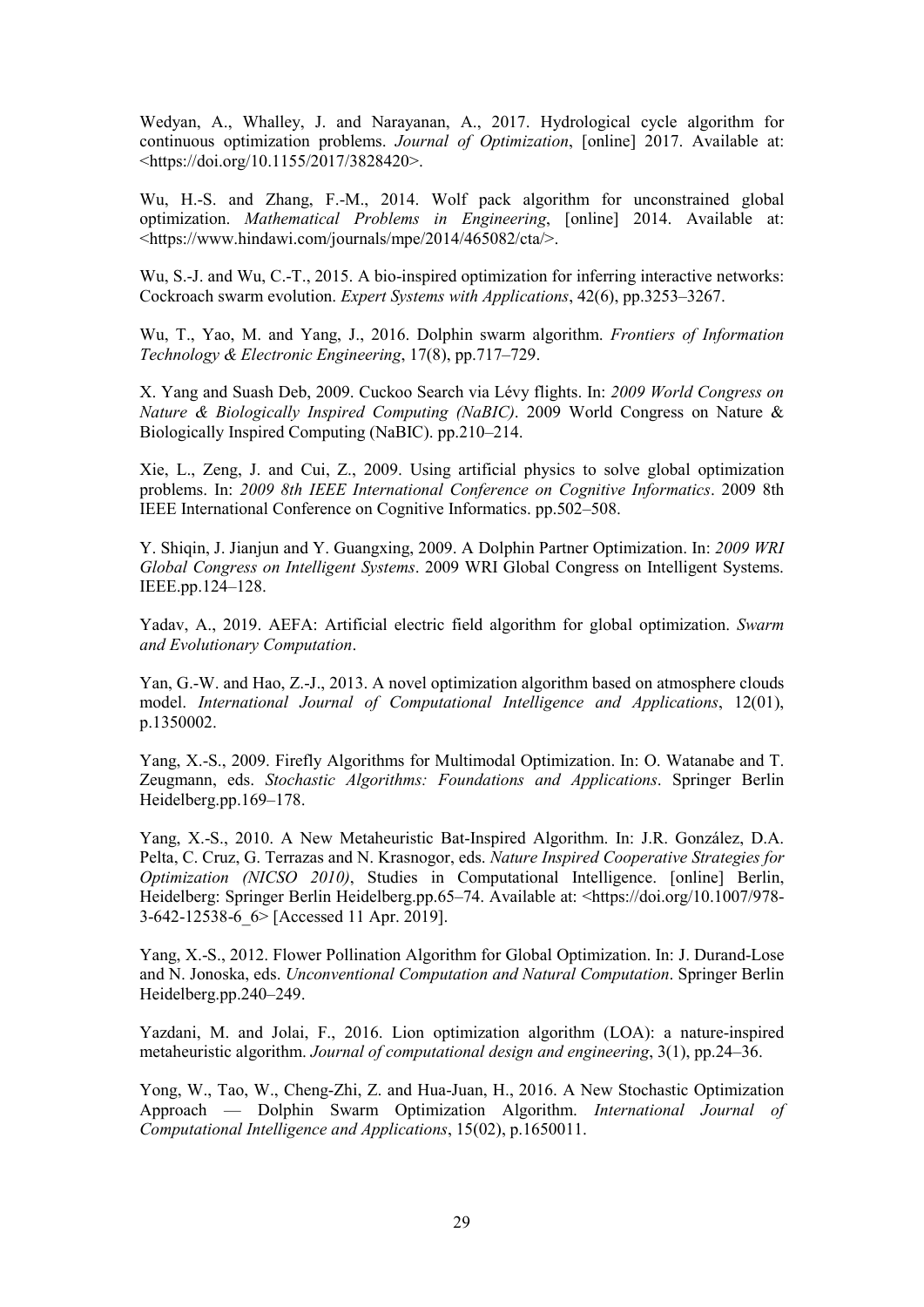Wedyan, A., Whalley, J. and Narayanan, A., 2017. Hydrological cycle algorithm for continuous optimization problems. *Journal of Optimization*, [online] 2017. Available at: <https://doi.org/10.1155/2017/3828420>.

Wu, H.-S. and Zhang, F.-M., 2014. Wolf pack algorithm for unconstrained global optimization. *Mathematical Problems in Engineering*, [online] 2014. Available at: <https://www.hindawi.com/journals/mpe/2014/465082/cta/>.

Wu, S.-J. and Wu, C.-T., 2015. A bio-inspired optimization for inferring interactive networks: Cockroach swarm evolution. *Expert Systems with Applications*, 42(6), pp.3253–3267.

Wu, T., Yao, M. and Yang, J., 2016. Dolphin swarm algorithm. *Frontiers of Information Technology & Electronic Engineering*, 17(8), pp.717–729.

X. Yang and Suash Deb, 2009. Cuckoo Search via Lévy flights. In: *2009 World Congress on Nature & Biologically Inspired Computing (NaBIC)*. 2009 World Congress on Nature & Biologically Inspired Computing (NaBIC). pp.210–214.

Xie, L., Zeng, J. and Cui, Z., 2009. Using artificial physics to solve global optimization problems. In: *2009 8th IEEE International Conference on Cognitive Informatics*. 2009 8th IEEE International Conference on Cognitive Informatics. pp.502–508.

Y. Shiqin, J. Jianjun and Y. Guangxing, 2009. A Dolphin Partner Optimization. In: *2009 WRI Global Congress on Intelligent Systems*. 2009 WRI Global Congress on Intelligent Systems. IEEE.pp.124–128.

Yadav, A., 2019. AEFA: Artificial electric field algorithm for global optimization. *Swarm and Evolutionary Computation*.

Yan, G.-W. and Hao, Z.-J., 2013. A novel optimization algorithm based on atmosphere clouds model. *International Journal of Computational Intelligence and Applications*, 12(01), p.1350002.

Yang, X.-S., 2009. Firefly Algorithms for Multimodal Optimization. In: O. Watanabe and T. Zeugmann, eds. *Stochastic Algorithms: Foundations and Applications*. Springer Berlin Heidelberg.pp.169–178.

Yang, X.-S., 2010. A New Metaheuristic Bat-Inspired Algorithm. In: J.R. González, D.A. Pelta, C. Cruz, G. Terrazas and N. Krasnogor, eds. *Nature Inspired Cooperative Strategies for Optimization (NICSO 2010)*, Studies in Computational Intelligence. [online] Berlin, Heidelberg: Springer Berlin Heidelberg.pp.65–74. Available at: <https://doi.org/10.1007/978-3-642-12538-6\_6> [Accessed 11 Apr. 2019].

Yang, X.-S., 2012. Flower Pollination Algorithm for Global Optimization. In: J. Durand-Lose and N. Jonoska, eds. *Unconventional Computation and Natural Computation*. Springer Berlin Heidelberg.pp.240–249.

Yazdani, M. and Jolai, F., 2016. Lion optimization algorithm (LOA): a nature-inspired metaheuristic algorithm. *Journal of computational design and engineering*, 3(1), pp.24–36.

Yong, W., Tao, W., Cheng-Zhi, Z. and Hua-Juan, H., 2016. A New Stochastic Optimization Approach — Dolphin Swarm Optimization Algorithm. *International Journal of Computational Intelligence and Applications*, 15(02), p.1650011.